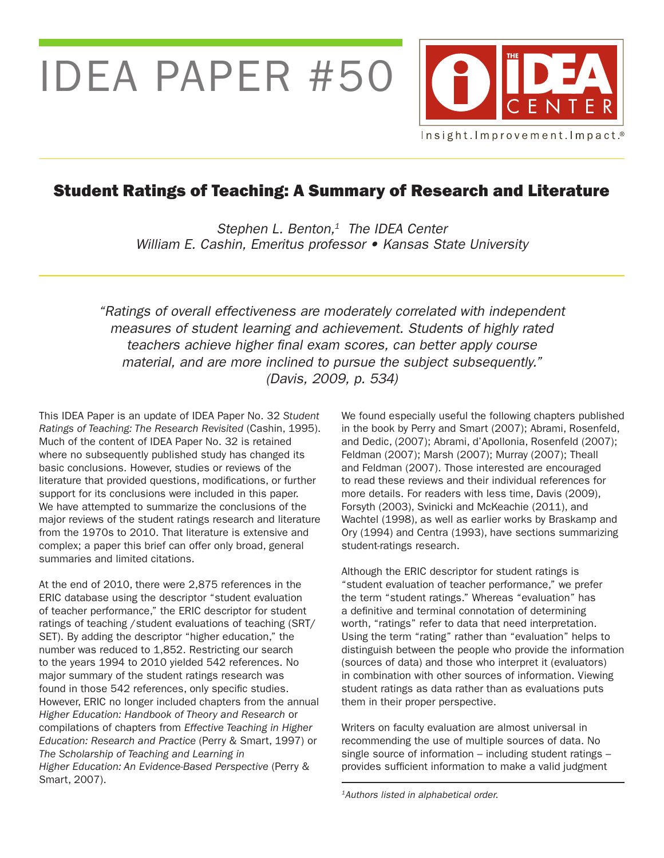IDEA PAPER #50



# Student Ratings of Teaching: A Summary of Research and Literature

*Stephen L. Benton,1 The IDEA Center* William E. Cashin, Emeritus professor • Kansas State University

"Ratings of overall effectiveness are moderately correlated with independent measures of student learning and achievement. Students of highly rated teachers achieve higher final exam scores, can better apply course material, and are more inclined to pursue the subject subsequently." (Davis, 2009, p. 534)

This IDEA Paper is an update of IDEA Paper No. 32 *Student Ratings of Teaching: The Research Revisited* (Cashin, 1995). Much of the content of IDEA Paper No. 32 is retained where no subsequently published study has changed its basic conclusions. However, studies or reviews of the literature that provided questions, modifications, or further support for its conclusions were included in this paper. We have attempted to summarize the conclusions of the major reviews of the student ratings research and literature from the 1970s to 2010. That literature is extensive and complex; a paper this brief can offer only broad, general summaries and limited citations.

At the end of 2010, there were 2,875 references in the ERIC database using the descriptor "student evaluation of teacher performance," the ERIC descriptor for student ratings of teaching /student evaluations of teaching (SRT/ SET). By adding the descriptor "higher education," the number was reduced to 1,852. Restricting our search to the years 1994 to 2010 yielded 542 references. No major summary of the student ratings research was found in those 542 references, only specific studies. However, ERIC no longer included chapters from the annual *Higher Education: Handbook of Theory and Research* or compilations of chapters from *Effective Teaching in Higher Education: Research and Practice* (Perry & Smart, 1997) or *The Scholarship of Teaching and Learning in Higher Education: An Evidence-Based Perspective* (Perry & Smart, 2007).

We found especially useful the following chapters published in the book by Perry and Smart (2007); Abrami, Rosenfeld, and Dedic, (2007); Abrami, d'Apollonia, Rosenfeld (2007); Feldman (2007); Marsh (2007); Murray (2007); Theall and Feldman (2007). Those interested are encouraged to read these reviews and their individual references for more details. For readers with less time, Davis (2009), Forsyth (2003), Svinicki and McKeachie (2011), and Wachtel (1998), as well as earlier works by Braskamp and Ory (1994) and Centra (1993), have sections summarizing student-ratings research.

Although the ERIC descriptor for student ratings is "student evaluation of teacher performance," we prefer the term "student ratings." Whereas "evaluation" has a definitive and terminal connotation of determining worth, "ratings" refer to data that need interpretation. Using the term "rating" rather than "evaluation" helps to distinguish between the people who provide the information (sources of data) and those who interpret it (evaluators) in combination with other sources of information. Viewing student ratings as data rather than as evaluations puts them in their proper perspective.

Writers on faculty evaluation are almost universal in recommending the use of multiple sources of data. No single source of information – including student ratings – provides sufficient information to make a valid judgment

*<sup>1</sup>*Authors listed in alphabetical order.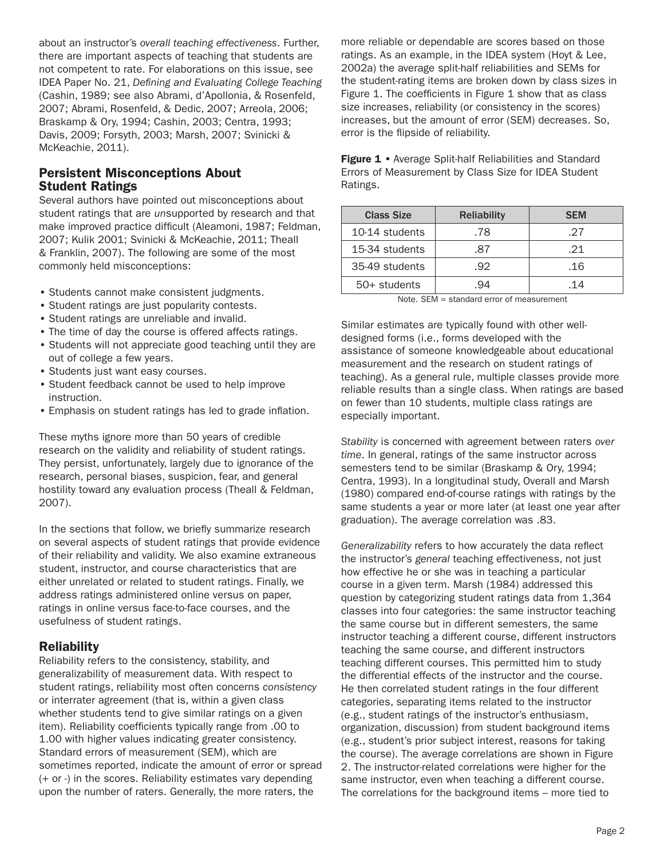about an instructor's *overall teaching effectiveness*. Further, there are important aspects of teaching that students are not competent to rate. For elaborations on this issue, see IDEA Paper No. 21, *Defining and Evaluating College Teaching*  (Cashin, 1989; see also Abrami, d'Apollonia, & Rosenfeld, 2007; Abrami, Rosenfeld, & Dedic, 2007; Arreola, 2006; Braskamp & Ory, 1994; Cashin, 2003; Centra, 1993; Davis, 2009; Forsyth, 2003; Marsh, 2007; Svinicki & McKeachie, 2011).

### Persistent Misconceptions About Student Ratings

Several authors have pointed out misconceptions about student ratings that are *un*supported by research and that make improved practice difficult (Aleamoni, 1987; Feldman, 2007; Kulik 2001; Svinicki & McKeachie, 2011; Theall & Franklin, 2007). The following are some of the most commonly held misconceptions:

- Students cannot make consistent judgments.
- Student ratings are just popularity contests.
- Student ratings are unreliable and invalid.
- The time of day the course is offered affects ratings.
- Students will not appreciate good teaching until they are out of college a few years.
- Students just want easy courses.
- Student feedback cannot be used to help improve instruction.
- • Emphasis on student ratings has led to grade inflation.

These myths ignore more than 50 years of credible research on the validity and reliability of student ratings. They persist, unfortunately, largely due to ignorance of the research, personal biases, suspicion, fear, and general hostility toward any evaluation process (Theall & Feldman, 2007).

In the sections that follow, we briefly summarize research on several aspects of student ratings that provide evidence of their reliability and validity. We also examine extraneous student, instructor, and course characteristics that are either unrelated or related to student ratings. Finally, we address ratings administered online versus on paper, ratings in online versus face-to-face courses, and the usefulness of student ratings.

# **Reliability**

Reliability refers to the consistency, stability, and generalizability of measurement data. With respect to student ratings, reliability most often concerns *consistency* or interrater agreement (that is, within a given class whether students tend to give similar ratings on a given item). Reliability coefficients typically range from .00 to 1.00 with higher values indicating greater consistency. Standard errors of measurement (SEM), which are sometimes reported, indicate the amount of error or spread (+ or -) in the scores. Reliability estimates vary depending upon the number of raters. Generally, the more raters, the

more reliable or dependable are scores based on those ratings. As an example, in the IDEA system (Hoyt & Lee, 2002a) the average split-half reliabilities and SEMs for the student-rating items are broken down by class sizes in Figure 1. The coefficients in Figure 1 show that as class size increases, reliability (or consistency in the scores) increases, but the amount of error (SEM) decreases. So, error is the flipside of reliability.

Figure 1 • Average Split-half Reliabilities and Standard Errors of Measurement by Class Size for IDEA Student Ratings.

| <b>Class Size</b> | <b>Reliability</b> | <b>SEM</b>     |
|-------------------|--------------------|----------------|
| 10-14 students    | .78                | .27            |
| 15-34 students    | -87                | $\mathcal{P}1$ |
| 35-49 students    | -92                | .16            |
| 50+ students      | 94                 | 14             |

Note. SEM = standard error of measurement

Similar estimates are typically found with other welldesigned forms (i.e., forms developed with the assistance of someone knowledgeable about educational measurement and the research on student ratings of teaching). As a general rule, multiple classes provide more reliable results than a single class. When ratings are based on fewer than 10 students, multiple class ratings are especially important.

*Stability* is concerned with agreement between raters *over time*. In general, ratings of the same instructor across semesters tend to be similar (Braskamp & Ory, 1994; Centra, 1993). In a longitudinal study, Overall and Marsh (1980) compared end-of-course ratings with ratings by the same students a year or more later (at least one year after graduation). The average correlation was .83.

*Generalizability* refers to how accurately the data reflect the instructor's *general* teaching effectiveness, not just how effective he or she was in teaching a particular course in a given term. Marsh (1984) addressed this question by categorizing student ratings data from 1,364 classes into four categories: the same instructor teaching the same course but in different semesters, the same instructor teaching a different course, different instructors teaching the same course, and different instructors teaching different courses. This permitted him to study the differential effects of the instructor and the course. He then correlated student ratings in the four different categories, separating items related to the instructor (e.g., student ratings of the instructor's enthusiasm, organization, discussion) from student background items (e.g., student's prior subject interest, reasons for taking the course). The average correlations are shown in Figure 2. The instructor-related correlations were higher for the same instructor, even when teaching a different course. The correlations for the background items – more tied to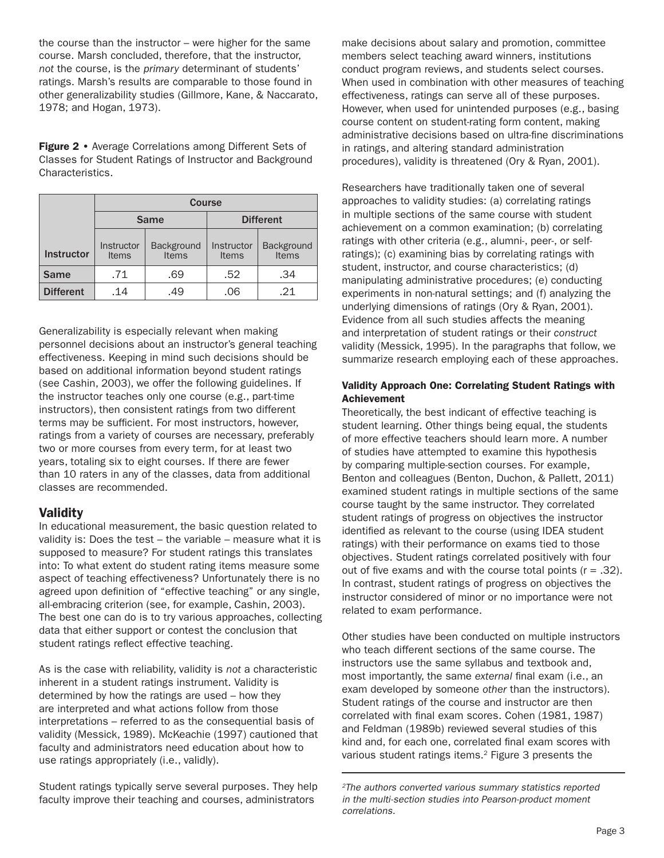the course than the instructor – were higher for the same course. Marsh concluded, therefore, that the instructor, *not* the course, is the *primary* determinant of students' ratings. Marsh's results are comparable to those found in other generalizability studies (Gillmore, Kane, & Naccarato, 1978; and Hogan, 1973).

Figure 2 • Average Correlations among Different Sets of Classes for Student Ratings of Instructor and Background Characteristics.

|                   | <b>Course</b>              |                     |                            |                     |
|-------------------|----------------------------|---------------------|----------------------------|---------------------|
|                   | Same                       |                     |                            | <b>Different</b>    |
| <b>Instructor</b> | Instructor<br><b>Items</b> | Background<br>Items | Instructor<br><b>Items</b> | Background<br>Items |
| <b>Same</b>       | .71                        | .69                 | .52                        | .34                 |
| <b>Different</b>  | .14                        | .49                 | .06                        | 21                  |

Generalizability is especially relevant when making personnel decisions about an instructor's general teaching effectiveness. Keeping in mind such decisions should be based on additional information beyond student ratings (see Cashin, 2003), we offer the following guidelines. If the instructor teaches only one course (e.g., part-time instructors), then consistent ratings from two different terms may be sufficient. For most instructors, however, ratings from a variety of courses are necessary, preferably two or more courses from every term, for at least two years, totaling six to eight courses. If there are fewer than 10 raters in any of the classes, data from additional classes are recommended.

### **Validity**

In educational measurement, the basic question related to validity is: Does the test – the variable – measure what it is supposed to measure? For student ratings this translates into: To what extent do student rating items measure some aspect of teaching effectiveness? Unfortunately there is no agreed upon definition of "effective teaching" or any single, all-embracing criterion (see, for example, Cashin, 2003). The best one can do is to try various approaches, collecting data that either support or contest the conclusion that student ratings reflect effective teaching.

As is the case with reliability, validity is *not* a characteristic inherent in a student ratings instrument. Validity is determined by how the ratings are used – how they are interpreted and what actions follow from those interpretations – referred to as the consequential basis of validity (Messick, 1989). McKeachie (1997) cautioned that faculty and administrators need education about how to use ratings appropriately (i.e., validly).

Student ratings typically serve several purposes. They help faculty improve their teaching and courses, administrators

make decisions about salary and promotion, committee members select teaching award winners, institutions conduct program reviews, and students select courses. When used in combination with other measures of teaching effectiveness, ratings can serve all of these purposes. However, when used for unintended purposes (e.g., basing course content on student-rating form content, making administrative decisions based on ultra-fine discriminations in ratings, and altering standard administration procedures), validity is threatened (Ory & Ryan, 2001).

Researchers have traditionally taken one of several approaches to validity studies: (a) correlating ratings in multiple sections of the same course with student achievement on a common examination; (b) correlating ratings with other criteria (e.g., alumni-, peer-, or selfratings); (c) examining bias by correlating ratings with student, instructor, and course characteristics; (d) manipulating administrative procedures; (e) conducting experiments in non-natural settings; and (f) analyzing the underlying dimensions of ratings (Ory & Ryan, 2001). Evidence from all such studies affects the meaning and interpretation of student ratings or their *construct* validity (Messick, 1995). In the paragraphs that follow, we summarize research employing each of these approaches.

### Validity Approach One: Correlating Student Ratings with Achievement

Theoretically, the best indicant of effective teaching is student learning. Other things being equal, the students of more effective teachers should learn more. A number of studies have attempted to examine this hypothesis by comparing multiple-section courses. For example, Benton and colleagues (Benton, Duchon, & Pallett, 2011) examined student ratings in multiple sections of the same course taught by the same instructor. They correlated student ratings of progress on objectives the instructor identified as relevant to the course (using IDEA student ratings) with their performance on exams tied to those objectives. Student ratings correlated positively with four out of five exams and with the course total points  $(r = .32)$ . In contrast, student ratings of progress on objectives the instructor considered of minor or no importance were not related to exam performance.

Other studies have been conducted on multiple instructors who teach different sections of the same course. The instructors use the same syllabus and textbook and, most importantly, the same *external* final exam (i.e., an exam developed by someone *other* than the instructors). Student ratings of the course and instructor are then correlated with final exam scores. Cohen (1981, 1987) and Feldman (1989b) reviewed several studies of this kind and, for each one, correlated final exam scores with various student ratings items.2 Figure 3 presents the

<sup>2</sup>The authors converted various summary statistics reported in the multi-section studies into Pearson-product moment correlations.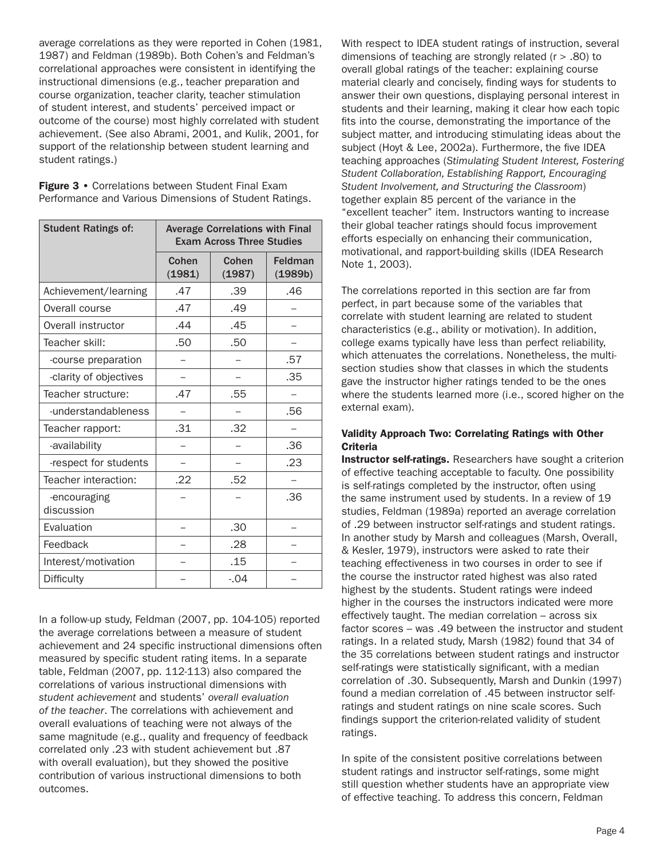average correlations as they were reported in Cohen (1981, 1987) and Feldman (1989b). Both Cohen's and Feldman's correlational approaches were consistent in identifying the instructional dimensions (e.g., teacher preparation and course organization, teacher clarity, teacher stimulation of student interest, and students' perceived impact or outcome of the course) most highly correlated with student achievement. (See also Abrami, 2001, and Kulik, 2001, for support of the relationship between student learning and student ratings.)

Figure 3 • Correlations between Student Final Exam Performance and Various Dimensions of Student Ratings.

| <b>Student Ratings of:</b> | <b>Average Correlations with Final</b><br><b>Exam Across Three Studies</b> |                 |                    |
|----------------------------|----------------------------------------------------------------------------|-----------------|--------------------|
|                            | Cohen<br>(1981)                                                            | Cohen<br>(1987) | Feldman<br>(1989b) |
| Achievement/learning       | .47                                                                        | .39             | .46                |
| Overall course             | .47                                                                        | .49             |                    |
| Overall instructor         | .44                                                                        | .45             |                    |
| Teacher skill:             | .50                                                                        | .50             |                    |
| -course preparation        |                                                                            |                 | .57                |
| -clarity of objectives     |                                                                            |                 | .35                |
| Teacher structure:         | .47                                                                        | .55             |                    |
| -understandableness        |                                                                            |                 | .56                |
| Teacher rapport:           | .31                                                                        | .32             |                    |
| -availability              |                                                                            |                 | .36                |
| -respect for students      |                                                                            |                 | .23                |
| Teacher interaction:       | .22                                                                        | .52             |                    |
| -encouraging<br>discussion |                                                                            |                 | .36                |
| Evaluation                 |                                                                            | .30             |                    |
| Feedback                   |                                                                            | .28             |                    |
| Interest/motivation        |                                                                            | .15             |                    |
| Difficulty                 |                                                                            | $-.04$          |                    |

In a follow-up study, Feldman (2007, pp. 104-105) reported the average correlations between a measure of student achievement and 24 specific instructional dimensions often measured by specific student rating items. In a separate table, Feldman (2007, pp. 112-113) also compared the correlations of various instructional dimensions with *student achievement* and students' *overall evaluation of the teacher*. The correlations with achievement and overall evaluations of teaching were not always of the same magnitude (e.g., quality and frequency of feedback correlated only .23 with student achievement but .87 with overall evaluation), but they showed the positive contribution of various instructional dimensions to both outcomes.

With respect to IDEA student ratings of instruction, several dimensions of teaching are strongly related (r > .80) to overall global ratings of the teacher: explaining course material clearly and concisely, finding ways for students to answer their own questions, displaying personal interest in students and their learning, making it clear how each topic fits into the course, demonstrating the importance of the subject matter, and introducing stimulating ideas about the subject (Hoyt & Lee, 2002a). Furthermore, the five IDEA teaching approaches (*Stimulating Student Interest, Fostering Student Collaboration, Establishing Rapport, Encouraging Student Involvement, and Structuring the Classroom*) together explain 85 percent of the variance in the "excellent teacher" item. Instructors wanting to increase their global teacher ratings should focus improvement efforts especially on enhancing their communication, motivational, and rapport-building skills (IDEA Research Note 1, 2003).

The correlations reported in this section are far from perfect, in part because some of the variables that correlate with student learning are related to student characteristics (e.g., ability or motivation). In addition, college exams typically have less than perfect reliability, which attenuates the correlations. Nonetheless, the multisection studies show that classes in which the students gave the instructor higher ratings tended to be the ones where the students learned more (i.e., scored higher on the external exam).

#### Validity Approach Two: Correlating Ratings with Other **Criteria**

Instructor self-ratings. Researchers have sought a criterion of effective teaching acceptable to faculty. One possibility is self-ratings completed by the instructor, often using the same instrument used by students. In a review of 19 studies, Feldman (1989a) reported an average correlation of .29 between instructor self-ratings and student ratings. In another study by Marsh and colleagues (Marsh, Overall, & Kesler, 1979), instructors were asked to rate their teaching effectiveness in two courses in order to see if the course the instructor rated highest was also rated highest by the students. Student ratings were indeed higher in the courses the instructors indicated were more effectively taught. The median correlation – across six factor scores – was .49 between the instructor and student ratings. In a related study, Marsh (1982) found that 34 of the 35 correlations between student ratings and instructor self-ratings were statistically significant, with a median correlation of .30. Subsequently, Marsh and Dunkin (1997) found a median correlation of .45 between instructor selfratings and student ratings on nine scale scores. Such findings support the criterion-related validity of student ratings.

In spite of the consistent positive correlations between student ratings and instructor self-ratings, some might still question whether students have an appropriate view of effective teaching. To address this concern, Feldman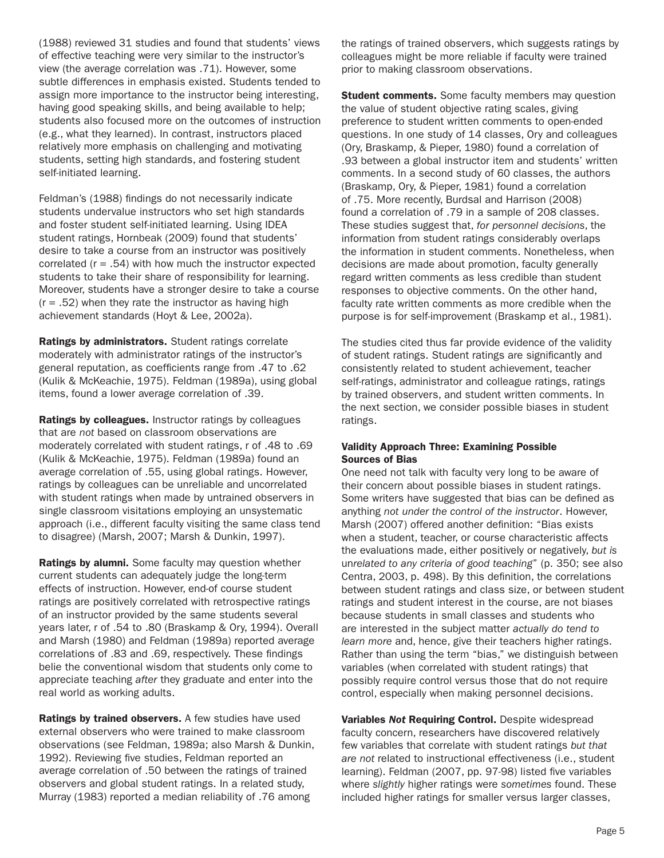(1988) reviewed 31 studies and found that students' views of effective teaching were very similar to the instructor's view (the average correlation was .71). However, some subtle differences in emphasis existed. Students tended to assign more importance to the instructor being interesting, having good speaking skills, and being available to help; students also focused more on the outcomes of instruction (e.g., what they learned). In contrast, instructors placed relatively more emphasis on challenging and motivating students, setting high standards, and fostering student self-initiated learning.

Feldman's (1988) findings do not necessarily indicate students undervalue instructors who set high standards and foster student self-initiated learning. Using IDEA student ratings, Hornbeak (2009) found that students' desire to take a course from an instructor was positively correlated  $(r = .54)$  with how much the instructor expected students to take their share of responsibility for learning. Moreover, students have a stronger desire to take a course  $(r = .52)$  when they rate the instructor as having high achievement standards (Hoyt & Lee, 2002a).

Ratings by administrators. Student ratings correlate moderately with administrator ratings of the instructor's general reputation, as coefficients range from .47 to .62 (Kulik & McKeachie, 1975). Feldman (1989a), using global items, found a lower average correlation of .39.

Ratings by colleagues. Instructor ratings by colleagues that are *not* based on classroom observations are moderately correlated with student ratings, r of .48 to .69 (Kulik & McKeachie, 1975). Feldman (1989a) found an average correlation of .55, using global ratings. However, ratings by colleagues can be unreliable and uncorrelated with student ratings when made by untrained observers in single classroom visitations employing an unsystematic approach (i.e., different faculty visiting the same class tend to disagree) (Marsh, 2007; Marsh & Dunkin, 1997).

**Ratings by alumni.** Some faculty may question whether current students can adequately judge the long-term effects of instruction. However, end-of course student ratings are positively correlated with retrospective ratings of an instructor provided by the same students several years later, r of .54 to .80 (Braskamp & Ory, 1994). Overall and Marsh (1980) and Feldman (1989a) reported average correlations of .83 and .69, respectively. These findings belie the conventional wisdom that students only come to appreciate teaching *after* they graduate and enter into the real world as working adults.

Ratings by trained observers. A few studies have used external observers who were trained to make classroom observations (see Feldman, 1989a; also Marsh & Dunkin, 1992). Reviewing five studies, Feldman reported an average correlation of .50 between the ratings of trained observers and global student ratings. In a related study, Murray (1983) reported a median reliability of .76 among

the ratings of trained observers, which suggests ratings by colleagues might be more reliable if faculty were trained prior to making classroom observations.

**Student comments.** Some faculty members may question the value of student objective rating scales, giving preference to student written comments to open-ended questions. In one study of 14 classes, Ory and colleagues (Ory, Braskamp, & Pieper, 1980) found a correlation of .93 between a global instructor item and students' written comments. In a second study of 60 classes, the authors (Braskamp, Ory, & Pieper, 1981) found a correlation of .75. More recently, Burdsal and Harrison (2008) found a correlation of .79 in a sample of 208 classes. These studies suggest that, *for personnel decisions*, the information from student ratings considerably overlaps the information in student comments. Nonetheless, when decisions are made about promotion, faculty generally regard written comments as less credible than student responses to objective comments. On the other hand, faculty rate written comments as more credible when the purpose is for self-improvement (Braskamp et al., 1981).

The studies cited thus far provide evidence of the validity of student ratings. Student ratings are significantly and consistently related to student achievement, teacher self-ratings, administrator and colleague ratings, ratings by trained observers, and student written comments. In the next section, we consider possible biases in student ratings.

#### Validity Approach Three: Examining Possible Sources of Bias

One need not talk with faculty very long to be aware of their concern about possible biases in student ratings. Some writers have suggested that bias can be defined as anything *not under the control of the instructor*. However, Marsh (2007) offered another definition: "Bias exists when a student, teacher, or course characteristic affects the evaluations made, either positively or negatively, *but is*  un*related to any criteria of good teaching*" (p. 350; see also Centra, 2003, p. 498). By this definition, the correlations between student ratings and class size, or between student ratings and student interest in the course, are not biases because students in small classes and students who are interested in the subject matter *actually do tend to learn more* and, hence, give their teachers higher ratings. Rather than using the term "bias," we distinguish between variables (when correlated with student ratings) that possibly require control versus those that do not require control, especially when making personnel decisions.

Variables *Not* Requiring Control. Despite widespread faculty concern, researchers have discovered relatively few variables that correlate with student ratings *but that are not* related to instructional effectiveness (i.e., student learning). Feldman (2007, pp. 97-98) listed five variables where *slightly* higher ratings were *sometimes* found. These included higher ratings for smaller versus larger classes,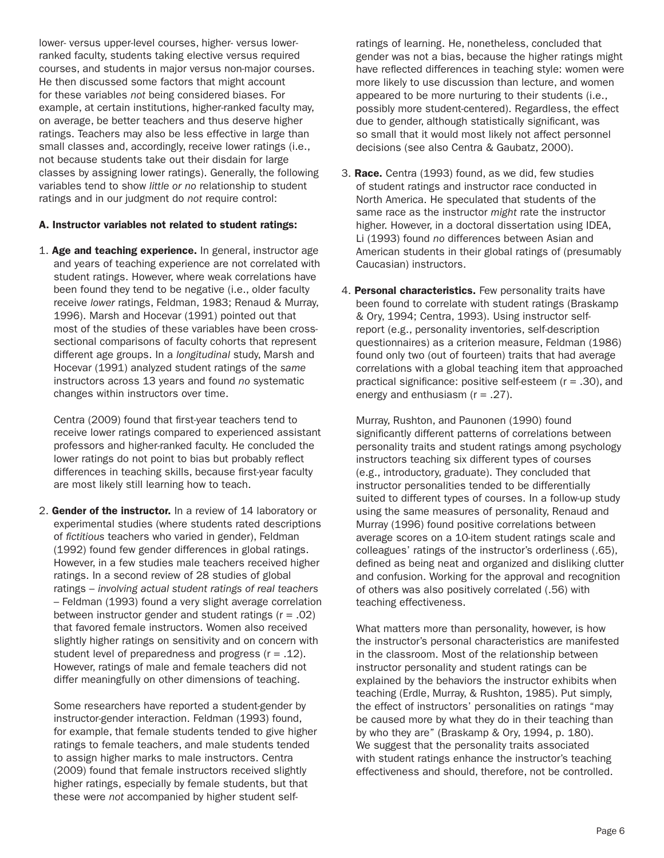lower- versus upper-level courses, higher- versus lowerranked faculty, students taking elective versus required courses, and students in major versus non-major courses. He then discussed some factors that might account for these variables *not* being considered biases. For example, at certain institutions, higher-ranked faculty may, on average, be better teachers and thus deserve higher ratings. Teachers may also be less effective in large than small classes and, accordingly, receive lower ratings (i.e., not because students take out their disdain for large classes by assigning lower ratings). Generally, the following variables tend to show *little or no* relationship to student ratings and in our judgment do *not* require control:

#### A. Instructor variables not related to student ratings:

1. Age and teaching experience. In general, instructor age and years of teaching experience are not correlated with student ratings. However, where weak correlations have been found they tend to be negative (i.e., older faculty receive *lower* ratings, Feldman, 1983; Renaud & Murray, 1996). Marsh and Hocevar (1991) pointed out that most of the studies of these variables have been crosssectional comparisons of faculty cohorts that represent different age groups. In a *longitudinal* study, Marsh and Hocevar (1991) analyzed student ratings of the *same* instructors across 13 years and found *no* systematic changes within instructors over time.

Centra (2009) found that first-year teachers tend to receive lower ratings compared to experienced assistant professors and higher-ranked faculty. He concluded the lower ratings do not point to bias but probably reflect differences in teaching skills, because first-year faculty are most likely still learning how to teach.

2. Gender of the instructor. In a review of 14 laboratory or experimental studies (where students rated descriptions of *fictitious* teachers who varied in gender), Feldman (1992) found few gender differences in global ratings. However, in a few studies male teachers received higher ratings. In a second review of 28 studies of global ratings – *involving actual student ratings of real teachers*  – Feldman (1993) found a very slight average correlation between instructor gender and student ratings  $(r = .02)$ that favored female instructors. Women also received slightly higher ratings on sensitivity and on concern with student level of preparedness and progress  $(r = .12)$ . However, ratings of male and female teachers did not differ meaningfully on other dimensions of teaching.

Some researchers have reported a student-gender by instructor-gender interaction. Feldman (1993) found, for example, that female students tended to give higher ratings to female teachers, and male students tended to assign higher marks to male instructors. Centra (2009) found that female instructors received slightly higher ratings, especially by female students, but that these were *not* accompanied by higher student selfratings of learning. He, nonetheless, concluded that gender was not a bias, because the higher ratings might have reflected differences in teaching style: women were more likely to use discussion than lecture, and women appeared to be more nurturing to their students (i.e., possibly more student-centered). Regardless, the effect due to gender, although statistically significant, was so small that it would most likely not affect personnel decisions (see also Centra & Gaubatz, 2000).

- 3. Race. Centra (1993) found, as we did, few studies of student ratings and instructor race conducted in North America. He speculated that students of the same race as the instructor *might* rate the instructor higher. However, in a doctoral dissertation using IDEA, Li (1993) found *no* differences between Asian and American students in their global ratings of (presumably Caucasian) instructors.
- 4. Personal characteristics. Few personality traits have been found to correlate with student ratings (Braskamp & Ory, 1994; Centra, 1993). Using instructor selfreport (e.g., personality inventories, self-description questionnaires) as a criterion measure, Feldman (1986) found only two (out of fourteen) traits that had average correlations with a global teaching item that approached practical significance: positive self-esteem (r = .30), and energy and enthusiasm  $(r = .27)$ .

Murray, Rushton, and Paunonen (1990) found significantly different patterns of correlations between personality traits and student ratings among psychology instructors teaching six different types of courses (e.g., introductory, graduate). They concluded that instructor personalities tended to be differentially suited to different types of courses. In a follow-up study using the same measures of personality, Renaud and Murray (1996) found positive correlations between average scores on a 10-item student ratings scale and colleagues' ratings of the instructor's orderliness (.65), defined as being neat and organized and disliking clutter and confusion. Working for the approval and recognition of others was also positively correlated (.56) with teaching effectiveness.

What matters more than personality, however, is how the instructor's personal characteristics are manifested in the classroom. Most of the relationship between instructor personality and student ratings can be explained by the behaviors the instructor exhibits when teaching (Erdle, Murray, & Rushton, 1985). Put simply, the effect of instructors' personalities on ratings "may be caused more by what they do in their teaching than by who they are" (Braskamp & Ory, 1994, p. 180). We suggest that the personality traits associated with student ratings enhance the instructor's teaching effectiveness and should, therefore, not be controlled.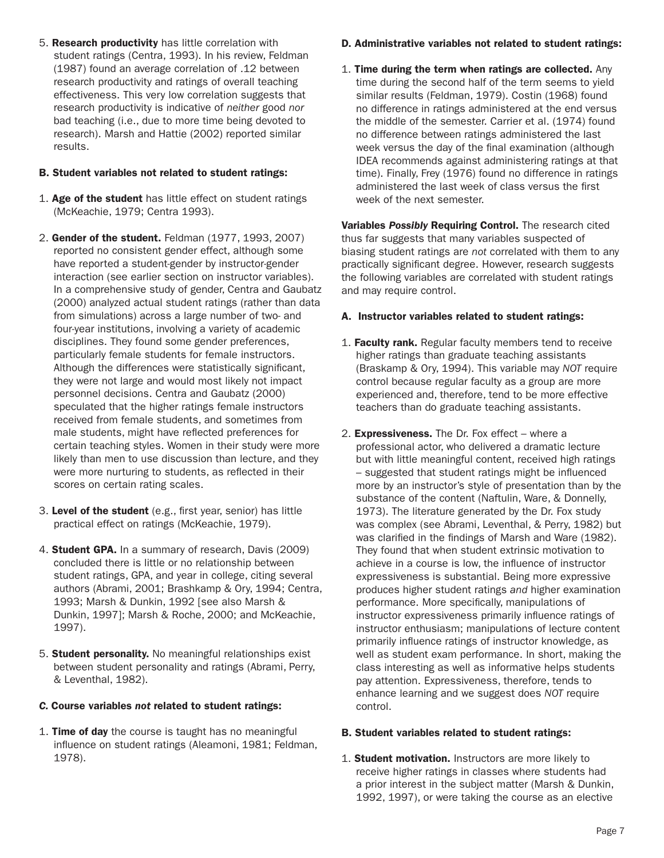5. Research productivity has little correlation with student ratings (Centra, 1993). In his review, Feldman (1987) found an average correlation of .12 between research productivity and ratings of overall teaching effectiveness. This very low correlation suggests that research productivity is indicative of *neither* good *nor* bad teaching (i.e., due to more time being devoted to research). Marsh and Hattie (2002) reported similar results.

#### B. Student variables not related to student ratings:

- 1. Age of the student has little effect on student ratings (McKeachie, 1979; Centra 1993).
- 2. Gender of the student. Feldman (1977, 1993, 2007) reported no consistent gender effect, although some have reported a student-gender by instructor-gender interaction (see earlier section on instructor variables). In a comprehensive study of gender, Centra and Gaubatz (2000) analyzed actual student ratings (rather than data from simulations) across a large number of two- and four-year institutions, involving a variety of academic disciplines. They found some gender preferences, particularly female students for female instructors. Although the differences were statistically significant, they were not large and would most likely not impact personnel decisions. Centra and Gaubatz (2000) speculated that the higher ratings female instructors received from female students, and sometimes from male students, might have reflected preferences for certain teaching styles. Women in their study were more likely than men to use discussion than lecture, and they were more nurturing to students, as reflected in their scores on certain rating scales.
- 3. Level of the student (e.g., first year, senior) has little practical effect on ratings (McKeachie, 1979).
- 4. Student GPA. In a summary of research, Davis (2009) concluded there is little or no relationship between student ratings, GPA, and year in college, citing several authors (Abrami, 2001; Brashkamp & Ory, 1994; Centra, 1993; Marsh & Dunkin, 1992 [see also Marsh & Dunkin, 1997]; Marsh & Roche, 2000; and McKeachie, 1997).
- 5. Student personality. No meaningful relationships exist between student personality and ratings (Abrami, Perry, & Leventhal, 1982).

### *C.* Course variables *not* related to student ratings:

1. Time of day the course is taught has no meaningful influence on student ratings (Aleamoni, 1981; Feldman, 1978).

### D. Administrative variables not related to student ratings:

1. Time during the term when ratings are collected. Any time during the second half of the term seems to yield similar results (Feldman, 1979). Costin (1968) found no difference in ratings administered at the end versus the middle of the semester. Carrier et al. (1974) found no difference between ratings administered the last week versus the day of the final examination (although IDEA recommends against administering ratings at that time). Finally, Frey (1976) found no difference in ratings administered the last week of class versus the first week of the next semester.

Variables *Possibly* Requiring Control. The research cited thus far suggests that many variables suspected of biasing student ratings are *not* correlated with them to any practically significant degree. However, research suggests the following variables are correlated with student ratings and may require control.

### A. Instructor variables related to student ratings:

- 1. Faculty rank. Regular faculty members tend to receive higher ratings than graduate teaching assistants (Braskamp & Ory, 1994). This variable may *NOT* require control because regular faculty as a group are more experienced and, therefore, tend to be more effective teachers than do graduate teaching assistants.
- 2. Expressiveness. The Dr. Fox effect where a professional actor, who delivered a dramatic lecture but with little meaningful content, received high ratings – suggested that student ratings might be influenced more by an instructor's style of presentation than by the substance of the content (Naftulin, Ware, & Donnelly, 1973). The literature generated by the Dr. Fox study was complex (see Abrami, Leventhal, & Perry, 1982) but was clarified in the findings of Marsh and Ware (1982). They found that when student extrinsic motivation to achieve in a course is low, the influence of instructor expressiveness is substantial. Being more expressive produces higher student ratings *and* higher examination performance. More specifically, manipulations of instructor expressiveness primarily influence ratings of instructor enthusiasm; manipulations of lecture content primarily influence ratings of instructor knowledge, as well as student exam performance. In short, making the class interesting as well as informative helps students pay attention. Expressiveness, therefore, tends to enhance learning and we suggest does *NOT* require control.

### B. Student variables related to student ratings:

1. Student motivation. Instructors are more likely to receive higher ratings in classes where students had a prior interest in the subject matter (Marsh & Dunkin, 1992, 1997), or were taking the course as an elective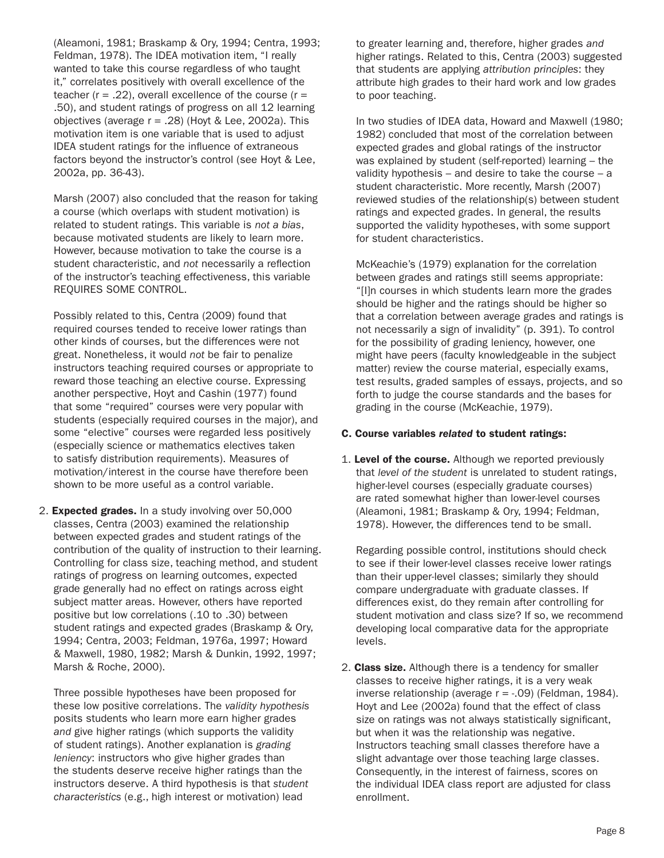(Aleamoni, 1981; Braskamp & Ory, 1994; Centra, 1993; Feldman, 1978). The IDEA motivation item, "I really wanted to take this course regardless of who taught it," correlates positively with overall excellence of the teacher ( $r = .22$ ), overall excellence of the course ( $r =$ .50), and student ratings of progress on all 12 learning objectives (average  $r = .28$ ) (Hoyt & Lee, 2002a). This motivation item is one variable that is used to adjust IDEA student ratings for the influence of extraneous factors beyond the instructor's control (see Hoyt & Lee, 2002a, pp. 36-43).

Marsh (2007) also concluded that the reason for taking a course (which overlaps with student motivation) is related to student ratings. This variable is *not a bias*, because motivated students are likely to learn more. However, because motivation to take the course is a student characteristic, and *not* necessarily a reflection of the instructor's teaching effectiveness, this variable REQUIRES SOME CONTROL.

Possibly related to this, Centra (2009) found that required courses tended to receive lower ratings than other kinds of courses, but the differences were not great. Nonetheless, it would *not* be fair to penalize instructors teaching required courses or appropriate to reward those teaching an elective course. Expressing another perspective, Hoyt and Cashin (1977) found that some "required" courses were very popular with students (especially required courses in the major), and some "elective" courses were regarded less positively (especially science or mathematics electives taken to satisfy distribution requirements). Measures of motivation/interest in the course have therefore been shown to be more useful as a control variable.

2. Expected grades. In a study involving over 50,000 classes, Centra (2003) examined the relationship between expected grades and student ratings of the contribution of the quality of instruction to their learning. Controlling for class size, teaching method, and student ratings of progress on learning outcomes, expected grade generally had no effect on ratings across eight subject matter areas. However, others have reported positive but low correlations (.10 to .30) between student ratings and expected grades (Braskamp & Ory, 1994; Centra, 2003; Feldman, 1976a, 1997; Howard & Maxwell, 1980, 1982; Marsh & Dunkin, 1992, 1997; Marsh & Roche, 2000).

Three possible hypotheses have been proposed for these low positive correlations. The *validity hypothesis* posits students who learn more earn higher grades *and* give higher ratings (which supports the validity of student ratings). Another explanation is *grading leniency*: instructors who give higher grades than the students deserve receive higher ratings than the instructors deserve. A third hypothesis is that *student characteristics* (e.g., high interest or motivation) lead

to greater learning and, therefore, higher grades *and* higher ratings. Related to this, Centra (2003) suggested that students are applying *attribution principles*: they attribute high grades to their hard work and low grades to poor teaching.

In two studies of IDEA data, Howard and Maxwell (1980; 1982) concluded that most of the correlation between expected grades and global ratings of the instructor was explained by student (self-reported) learning – the validity hypothesis – and desire to take the course – a student characteristic. More recently, Marsh (2007) reviewed studies of the relationship(s) between student ratings and expected grades. In general, the results supported the validity hypotheses, with some support for student characteristics.

McKeachie's (1979) explanation for the correlation between grades and ratings still seems appropriate: "[I]n courses in which students learn more the grades should be higher and the ratings should be higher so that a correlation between average grades and ratings is not necessarily a sign of invalidity" (p. 391). To control for the possibility of grading leniency, however, one might have peers (faculty knowledgeable in the subject matter) review the course material, especially exams, test results, graded samples of essays, projects, and so forth to judge the course standards and the bases for grading in the course (McKeachie, 1979).

#### C. Course variables *related* to student ratings:

1. Level of the course. Although we reported previously that *level of the student* is unrelated to student ratings, higher-level courses (especially graduate courses) are rated somewhat higher than lower-level courses (Aleamoni, 1981; Braskamp & Ory, 1994; Feldman, 1978). However, the differences tend to be small.

Regarding possible control, institutions should check to see if their lower-level classes receive lower ratings than their upper-level classes; similarly they should compare undergraduate with graduate classes. If differences exist, do they remain after controlling for student motivation and class size? If so, we recommend developing local comparative data for the appropriate levels.

2. Class size. Although there is a tendency for smaller classes to receive higher ratings, it is a very weak inverse relationship (average  $r = -0.09$ ) (Feldman, 1984). Hoyt and Lee (2002a) found that the effect of class size on ratings was not always statistically significant, but when it was the relationship was negative. Instructors teaching small classes therefore have a slight advantage over those teaching large classes. Consequently, in the interest of fairness, scores on the individual IDEA class report are adjusted for class enrollment.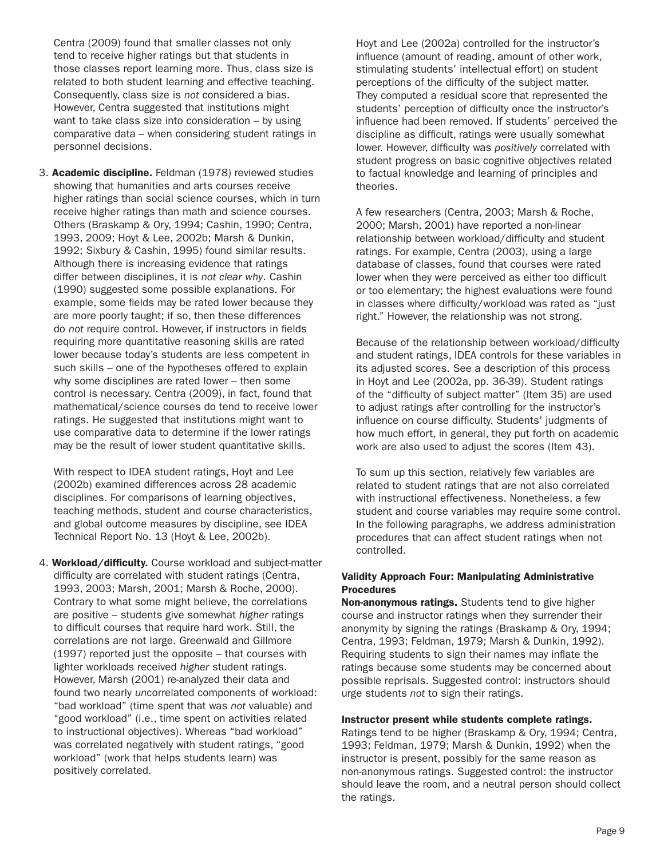Centra (2009) found that smaller classes not only tend to receive higher ratings but that students in those classes report learning more. Thus, class size is related to both student learning and effective teaching. Consequently, class size is *not* considered a bias. However, Centra suggested that institutions might want to take class size into consideration – by using comparative data – when considering student ratings in personnel decisions.

3. Academic discipline. Feldman (1978) reviewed studies showing that humanities and arts courses receive higher ratings than social science courses, which in turn receive higher ratings than math and science courses. Others (Braskamp & Ory, 1994; Cashin, 1990; Centra, 1993, 2009; Hoyt & Lee, 2002b; Marsh & Dunkin, 1992; Sixbury & Cashin, 1995) found similar results. Although there is increasing evidence that ratings differ between disciplines, it is *not clear why*. Cashin (1990) suggested some possible explanations. For example, some fields may be rated lower because they are more poorly taught; if so, then these differences do *not* require control. However, if instructors in fields requiring more quantitative reasoning skills are rated lower because today's students are less competent in such skills – one of the hypotheses offered to explain why some disciplines are rated lower – then some control is necessary. Centra (2009), in fact, found that mathematical/science courses do tend to receive lower ratings. He suggested that institutions might want to use comparative data to determine if the lower ratings may be the result of lower student quantitative skills.

With respect to IDEA student ratings, Hoyt and Lee (2002b) examined differences across 28 academic disciplines. For comparisons of learning objectives, teaching methods, student and course characteristics, and global outcome measures by discipline, see IDEA Technical Report No. 13 (Hoyt & Lee, 2002b).

4. Workload/difficulty. Course workload and subject-matter difficulty are correlated with student ratings (Centra, 1993, 2003; Marsh, 2001; Marsh & Roche, 2000). Contrary to what some might believe, the correlations are positive – students give somewhat *higher* ratings to difficult courses that require hard work. Still, the correlations are not large. Greenwald and Gillmore (1997) reported just the opposite – that courses with lighter workloads received *higher* student ratings. However, Marsh (2001) re-analyzed their data and found two nearly *un*correlated components of workload: "bad workload" (time spent that was *not* valuable) and "good workload" (i.e., time spent on activities related to instructional objectives). Whereas "bad workload" was correlated negatively with student ratings, "good workload" (work that helps students learn) was positively correlated.

Hoyt and Lee (2002a) controlled for the instructor's influence (amount of reading, amount of other work, stimulating students' intellectual effort) on student perceptions of the difficulty of the subject matter. They computed a residual score that represented the students' perception of difficulty once the instructor's influence had been removed. If students' perceived the discipline as difficult, ratings were usually somewhat lower. However, difficulty was *positively* correlated with student progress on basic cognitive objectives related to factual knowledge and learning of principles and theories.

A few researchers (Centra, 2003; Marsh & Roche, 2000; Marsh, 2001) have reported a non-linear relationship between workload/difficulty and student ratings. For example, Centra (2003), using a large database of classes, found that courses were rated lower when they were perceived as either too difficult or too elementary; the highest evaluations were found in classes where difficulty/workload was rated as "just right." However, the relationship was not strong.

Because of the relationship between workload/difficulty and student ratings, IDEA controls for these variables in its adjusted scores. See a description of this process in Hoyt and Lee (2002a, pp. 36-39). Student ratings of the "difficulty of subject matter" (Item 35) are used to adjust ratings after controlling for the instructor's influence on course difficulty. Students' judgments of how much effort, in general, they put forth on academic work are also used to adjust the scores (Item 43).

To sum up this section, relatively few variables are related to student ratings that are not also correlated with instructional effectiveness. Nonetheless, a few student and course variables may require some control. In the following paragraphs, we address administration procedures that can affect student ratings when not controlled.

#### Validity Approach Four: Manipulating Administrative Procedures

Non-anonymous ratings. Students tend to give higher course and instructor ratings when they surrender their anonymity by signing the ratings (Braskamp & Ory, 1994; Centra, 1993; Feldman, 1979; Marsh & Dunkin, 1992). Requiring students to sign their names may inflate the ratings because some students may be concerned about possible reprisals. Suggested control: instructors should urge students *not* to sign their ratings.

#### Instructor present while students complete ratings.

Ratings tend to be higher (Braskamp & Ory, 1994; Centra, 1993; Feldman, 1979; Marsh & Dunkin, 1992) when the instructor is present, possibly for the same reason as non-anonymous ratings. Suggested control: the instructor should leave the room, and a neutral person should collect the ratings.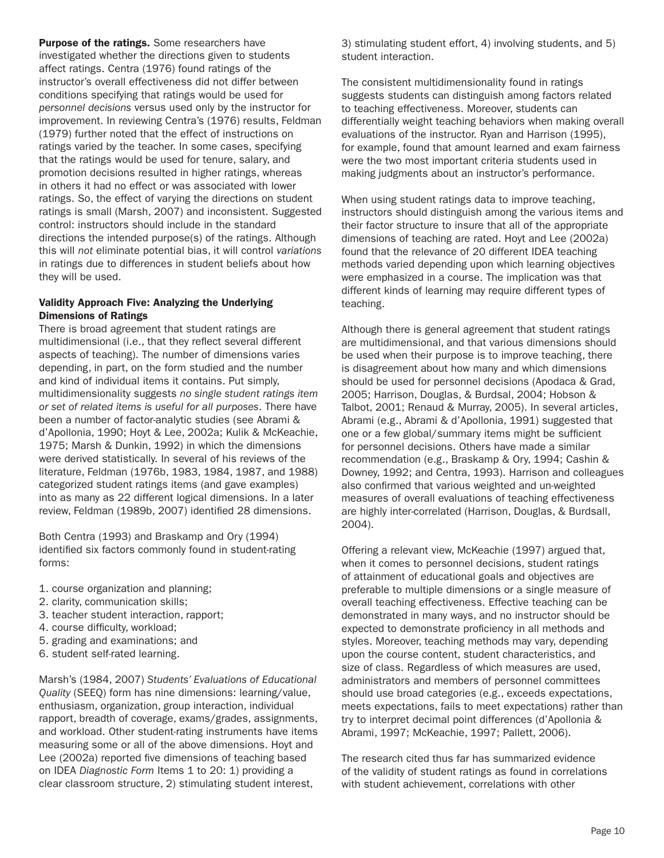Purpose of the ratings. Some researchers have investigated whether the directions given to students affect ratings. Centra (1976) found ratings of the instructor's overall effectiveness did not differ between conditions specifying that ratings would be used for *personnel decisions* versus used only by the instructor for improvement. In reviewing Centra's (1976) results, Feldman (1979) further noted that the effect of instructions on ratings varied by the teacher. In some cases, specifying that the ratings would be used for tenure, salary, and promotion decisions resulted in higher ratings, whereas in others it had no effect or was associated with lower ratings. So, the effect of varying the directions on student ratings is small (Marsh, 2007) and inconsistent. Suggested control: instructors should include in the standard directions the intended purpose(s) of the ratings. Although this will *not* eliminate potential bias, it will control *variations* in ratings due to differences in student beliefs about how they will be used.

#### Validity Approach Five: Analyzing the Underlying Dimensions of Ratings

There is broad agreement that student ratings are multidimensional (i.e., that they reflect several different aspects of teaching). The number of dimensions varies depending, in part, on the form studied and the number and kind of individual items it contains. Put simply, multidimensionality suggests *no single student ratings item or set of related items is useful for all purposes*. There have been a number of factor-analytic studies (see Abrami & d'Apollonia, 1990; Hoyt & Lee, 2002a; Kulik & McKeachie, 1975; Marsh & Dunkin, 1992) in which the dimensions were derived statistically. In several of his reviews of the literature, Feldman (1976b, 1983, 1984, 1987, and 1988) categorized student ratings items (and gave examples) into as many as 22 different logical dimensions. In a later review, Feldman (1989b, 2007) identified 28 dimensions.

Both Centra (1993) and Braskamp and Ory (1994) identified six factors commonly found in student-rating forms:

- 1. course organization and planning;
- 2. clarity, communication skills;
- 3. teacher student interaction, rapport;
- 4. course difficulty, workload;
- 5. grading and examinations; and
- 6. student self-rated learning.

Marsh's (1984, 2007) *Students' Evaluations of Educational Quality* (SEEQ) form has nine dimensions: learning/value, enthusiasm, organization, group interaction, individual rapport, breadth of coverage, exams/grades, assignments, and workload. Other student-rating instruments have items measuring some or all of the above dimensions. Hoyt and Lee (2002a) reported five dimensions of teaching based on IDEA *Diagnostic Form* Items 1 to 20: 1) providing a clear classroom structure, 2) stimulating student interest,

3) stimulating student effort, 4) involving students, and 5) student interaction.

The consistent multidimensionality found in ratings suggests students can distinguish among factors related to teaching effectiveness. Moreover, students can differentially weight teaching behaviors when making overall evaluations of the instructor. Ryan and Harrison (1995), for example, found that amount learned and exam fairness were the two most important criteria students used in making judgments about an instructor's performance.

When using student ratings data to improve teaching, instructors should distinguish among the various items and their factor structure to insure that all of the appropriate dimensions of teaching are rated. Hoyt and Lee (2002a) found that the relevance of 20 different IDEA teaching methods varied depending upon which learning objectives were emphasized in a course. The implication was that different kinds of learning may require different types of teaching.

Although there is general agreement that student ratings are multidimensional, and that various dimensions should be used when their purpose is to improve teaching, there is disagreement about how many and which dimensions should be used for personnel decisions (Apodaca & Grad, 2005; Harrison, Douglas, & Burdsal, 2004; Hobson & Talbot, 2001; Renaud & Murray, 2005). In several articles, Abrami (e.g., Abrami & d'Apollonia, 1991) suggested that one or a few global/summary items might be sufficient for personnel decisions. Others have made a similar recommendation (e.g., Braskamp & Ory, 1994; Cashin & Downey, 1992; and Centra, 1993). Harrison and colleagues also confirmed that various weighted and un-weighted measures of overall evaluations of teaching effectiveness are highly inter-correlated (Harrison, Douglas, & Burdsall, 2004).

Offering a relevant view, McKeachie (1997) argued that, when it comes to personnel decisions, student ratings of attainment of educational goals and objectives are preferable to multiple dimensions or a single measure of overall teaching effectiveness. Effective teaching can be demonstrated in many ways, and no instructor should be expected to demonstrate proficiency in all methods and styles. Moreover, teaching methods may vary, depending upon the course content, student characteristics, and size of class. Regardless of which measures are used, administrators and members of personnel committees should use broad categories (e.g., exceeds expectations, meets expectations, fails to meet expectations) rather than try to interpret decimal point differences (d'Apollonia & Abrami, 1997; McKeachie, 1997; Pallett, 2006).

The research cited thus far has summarized evidence of the validity of student ratings as found in correlations with student achievement, correlations with other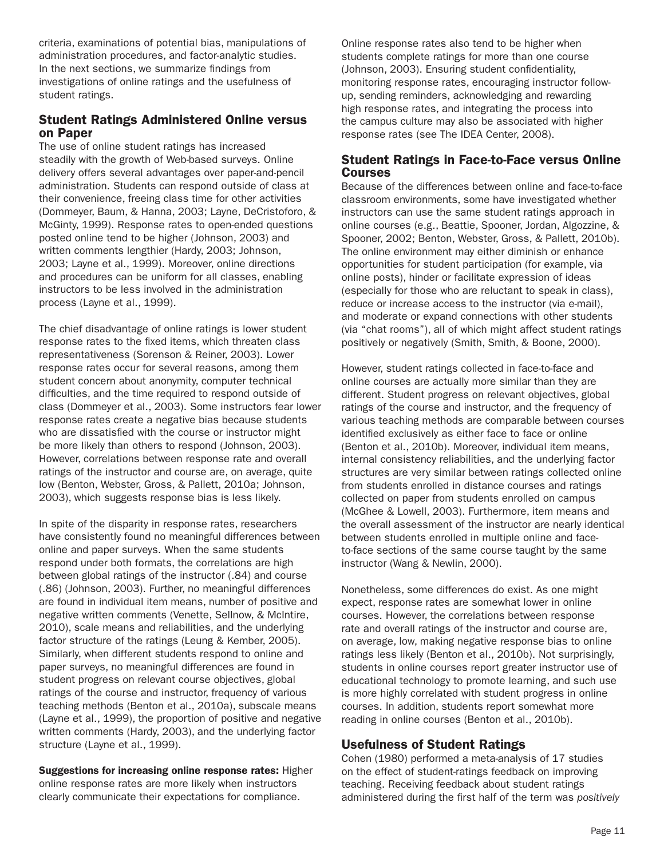criteria, examinations of potential bias, manipulations of administration procedures, and factor-analytic studies. In the next sections, we summarize findings from investigations of online ratings and the usefulness of student ratings.

### Student Ratings Administered Online versus on Paper

The use of online student ratings has increased steadily with the growth of Web-based surveys. Online delivery offers several advantages over paper-and-pencil administration. Students can respond outside of class at their convenience, freeing class time for other activities (Dommeyer, Baum, & Hanna, 2003; Layne, DeCristoforo, & McGinty, 1999). Response rates to open-ended questions posted online tend to be higher (Johnson, 2003) and written comments lengthier (Hardy, 2003; Johnson, 2003; Layne et al., 1999). Moreover, online directions and procedures can be uniform for all classes, enabling instructors to be less involved in the administration process (Layne et al., 1999).

The chief disadvantage of online ratings is lower student response rates to the fixed items, which threaten class representativeness (Sorenson & Reiner, 2003). Lower response rates occur for several reasons, among them student concern about anonymity, computer technical difficulties, and the time required to respond outside of class (Dommeyer et al., 2003). Some instructors fear lower response rates create a negative bias because students who are dissatisfied with the course or instructor might be more likely than others to respond (Johnson, 2003). However, correlations between response rate and overall ratings of the instructor and course are, on average, quite low (Benton, Webster, Gross, & Pallett, 2010a; Johnson, 2003), which suggests response bias is less likely.

In spite of the disparity in response rates, researchers have consistently found no meaningful differences between online and paper surveys. When the same students respond under both formats, the correlations are high between global ratings of the instructor (.84) and course (.86) (Johnson, 2003). Further, no meaningful differences are found in individual item means, number of positive and negative written comments (Venette, Sellnow, & McIntire, 2010), scale means and reliabilities, and the underlying factor structure of the ratings (Leung & Kember, 2005). Similarly, when different students respond to online and paper surveys, no meaningful differences are found in student progress on relevant course objectives, global ratings of the course and instructor, frequency of various teaching methods (Benton et al., 2010a), subscale means (Layne et al., 1999), the proportion of positive and negative written comments (Hardy, 2003), and the underlying factor structure (Layne et al., 1999).

Suggestions for increasing online response rates: Higher online response rates are more likely when instructors clearly communicate their expectations for compliance.

Online response rates also tend to be higher when students complete ratings for more than one course (Johnson, 2003). Ensuring student confidentiality, monitoring response rates, encouraging instructor followup, sending reminders, acknowledging and rewarding high response rates, and integrating the process into the campus culture may also be associated with higher response rates (see The IDEA Center, 2008).

### Student Ratings in Face-to-Face versus Online Courses

Because of the differences between online and face-to-face classroom environments, some have investigated whether instructors can use the same student ratings approach in online courses (e.g., Beattie, Spooner, Jordan, Algozzine, & Spooner, 2002; Benton, Webster, Gross, & Pallett, 2010b). The online environment may either diminish or enhance opportunities for student participation (for example, via online posts), hinder or facilitate expression of ideas (especially for those who are reluctant to speak in class), reduce or increase access to the instructor (via e-mail), and moderate or expand connections with other students (via "chat rooms"), all of which might affect student ratings positively or negatively (Smith, Smith, & Boone, 2000).

However, student ratings collected in face-to-face and online courses are actually more similar than they are different. Student progress on relevant objectives, global ratings of the course and instructor, and the frequency of various teaching methods are comparable between courses identified exclusively as either face to face or online (Benton et al., 2010b). Moreover, individual item means, internal consistency reliabilities, and the underlying factor structures are very similar between ratings collected online from students enrolled in distance courses and ratings collected on paper from students enrolled on campus (McGhee & Lowell, 2003). Furthermore, item means and the overall assessment of the instructor are nearly identical between students enrolled in multiple online and faceto-face sections of the same course taught by the same instructor (Wang & Newlin, 2000).

Nonetheless, some differences do exist. As one might expect, response rates are somewhat lower in online courses. However, the correlations between response rate and overall ratings of the instructor and course are, on average, low, making negative response bias to online ratings less likely (Benton et al., 2010b). Not surprisingly, students in online courses report greater instructor use of educational technology to promote learning, and such use is more highly correlated with student progress in online courses. In addition, students report somewhat more reading in online courses (Benton et al., 2010b).

# Usefulness of Student Ratings

Cohen (1980) performed a meta-analysis of 17 studies on the effect of student-ratings feedback on improving teaching. Receiving feedback about student ratings administered during the first half of the term was *positively*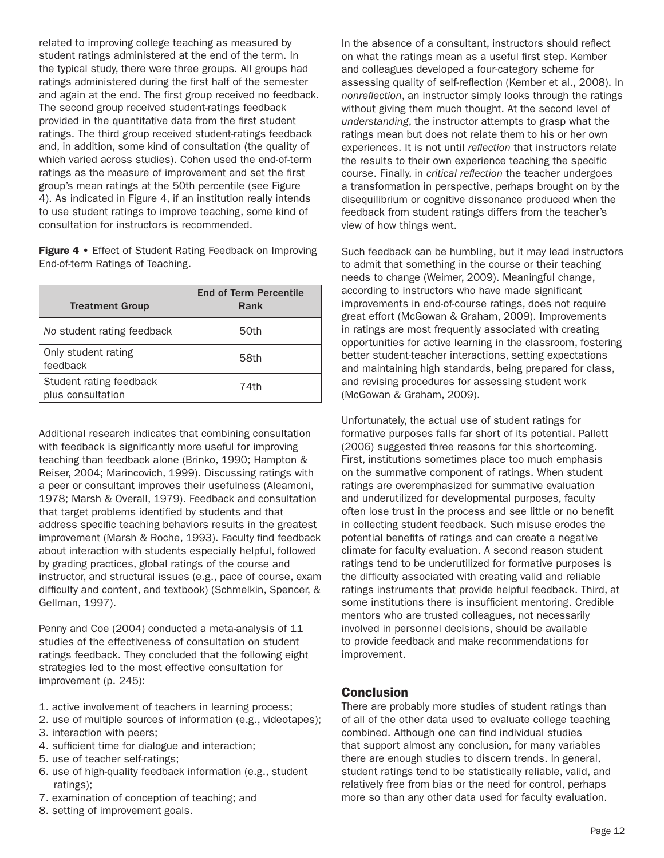related to improving college teaching as measured by student ratings administered at the end of the term. In the typical study, there were three groups. All groups had ratings administered during the first half of the semester and again at the end. The first group received no feedback. The second group received student-ratings feedback provided in the quantitative data from the first student ratings. The third group received student-ratings feedback and, in addition, some kind of consultation (the quality of which varied across studies). Cohen used the end-of-term ratings as the measure of improvement and set the first group's mean ratings at the 50th percentile (see Figure 4). As indicated in Figure 4, if an institution really intends to use student ratings to improve teaching, some kind of consultation for instructors is recommended.

Figure 4 • Effect of Student Rating Feedback on Improving End-of-term Ratings of Teaching.

| <b>Treatment Group</b>                       | <b>End of Term Percentile</b><br>Rank |
|----------------------------------------------|---------------------------------------|
| No student rating feedback                   | 50th                                  |
| Only student rating<br>feedback              | 58th                                  |
| Student rating feedback<br>plus consultation | 74th                                  |

Additional research indicates that combining consultation with feedback is significantly more useful for improving teaching than feedback alone (Brinko, 1990; Hampton & Reiser, 2004; Marincovich, 1999). Discussing ratings with a peer or consultant improves their usefulness (Aleamoni, 1978; Marsh & Overall, 1979). Feedback and consultation that target problems identified by students and that address specific teaching behaviors results in the greatest improvement (Marsh & Roche, 1993). Faculty find feedback about interaction with students especially helpful, followed by grading practices, global ratings of the course and instructor, and structural issues (e.g., pace of course, exam difficulty and content, and textbook) (Schmelkin, Spencer, & Gellman, 1997).

Penny and Coe (2004) conducted a meta-analysis of 11 studies of the effectiveness of consultation on student ratings feedback. They concluded that the following eight strategies led to the most effective consultation for improvement (p. 245):

- 1. active involvement of teachers in learning process;
- 2. use of multiple sources of information (e.g., videotapes);
- 3. interaction with peers;
- 4. sufficient time for dialogue and interaction;
- 5. use of teacher self-ratings;
- 6. use of high-quality feedback information (e.g., student ratings);
- 7. examination of conception of teaching; and
- 8. setting of improvement goals.

In the absence of a consultant, instructors should reflect on what the ratings mean as a useful first step. Kember and colleagues developed a four-category scheme for assessing quality of self-reflection (Kember et al., 2008). In *nonreflection*, an instructor simply looks through the ratings without giving them much thought. At the second level of *understanding*, the instructor attempts to grasp what the ratings mean but does not relate them to his or her own experiences. It is not until *reflection* that instructors relate the results to their own experience teaching the specific course. Finally, in *critical reflection* the teacher undergoes a transformation in perspective, perhaps brought on by the disequilibrium or cognitive dissonance produced when the feedback from student ratings differs from the teacher's view of how things went.

Such feedback can be humbling, but it may lead instructors to admit that something in the course or their teaching needs to change (Weimer, 2009). Meaningful change, according to instructors who have made significant improvements in end-of-course ratings, does not require great effort (McGowan & Graham, 2009). Improvements in ratings are most frequently associated with creating opportunities for active learning in the classroom, fostering better student-teacher interactions, setting expectations and maintaining high standards, being prepared for class, and revising procedures for assessing student work (McGowan & Graham, 2009).

Unfortunately, the actual use of student ratings for formative purposes falls far short of its potential. Pallett (2006) suggested three reasons for this shortcoming. First, institutions sometimes place too much emphasis on the summative component of ratings. When student ratings are overemphasized for summative evaluation and underutilized for developmental purposes, faculty often lose trust in the process and see little or no benefit in collecting student feedback. Such misuse erodes the potential benefits of ratings and can create a negative climate for faculty evaluation. A second reason student ratings tend to be underutilized for formative purposes is the difficulty associated with creating valid and reliable ratings instruments that provide helpful feedback. Third, at some institutions there is insufficient mentoring. Credible mentors who are trusted colleagues, not necessarily involved in personnel decisions, should be available to provide feedback and make recommendations for improvement.

# **Conclusion**

There are probably more studies of student ratings than of all of the other data used to evaluate college teaching combined. Although one can find individual studies that support almost any conclusion, for many variables there are enough studies to discern trends. In general, student ratings tend to be statistically reliable, valid, and relatively free from bias or the need for control, perhaps more so than any other data used for faculty evaluation.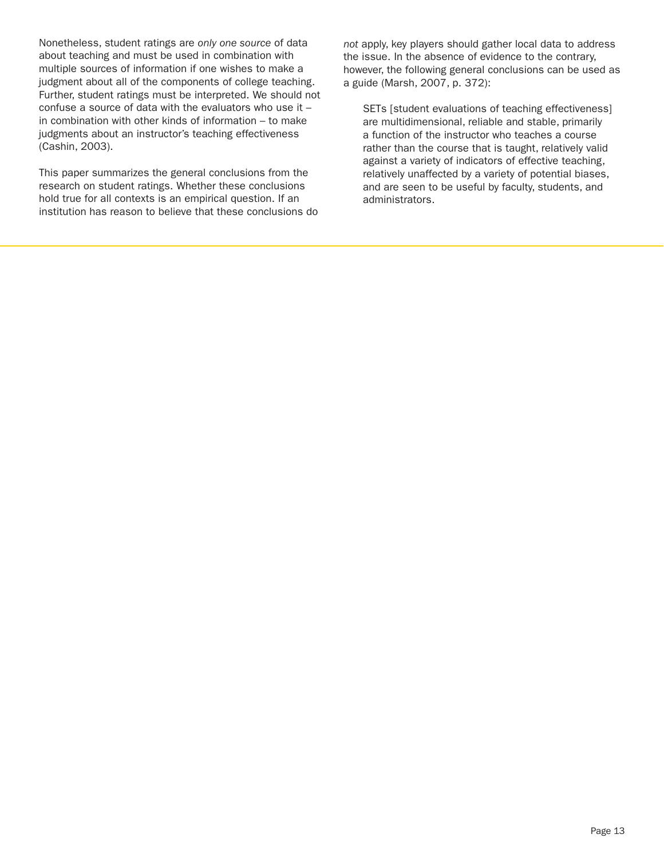Nonetheless, student ratings are *only one source* of data about teaching and must be used in combination with multiple sources of information if one wishes to make a judgment about all of the components of college teaching. Further, student ratings must be interpreted. We should not confuse a source of data with the evaluators who use it – in combination with other kinds of information – to make judgments about an instructor's teaching effectiveness (Cashin, 2003).

This paper summarizes the general conclusions from the research on student ratings. Whether these conclusions hold true for all contexts is an empirical question. If an institution has reason to believe that these conclusions do *not* apply, key players should gather local data to address the issue. In the absence of evidence to the contrary, however, the following general conclusions can be used as a guide (Marsh, 2007, p. 372):

SETs [student evaluations of teaching effectiveness] are multidimensional, reliable and stable, primarily a function of the instructor who teaches a course rather than the course that is taught, relatively valid against a variety of indicators of effective teaching, relatively unaffected by a variety of potential biases, and are seen to be useful by faculty, students, and administrators.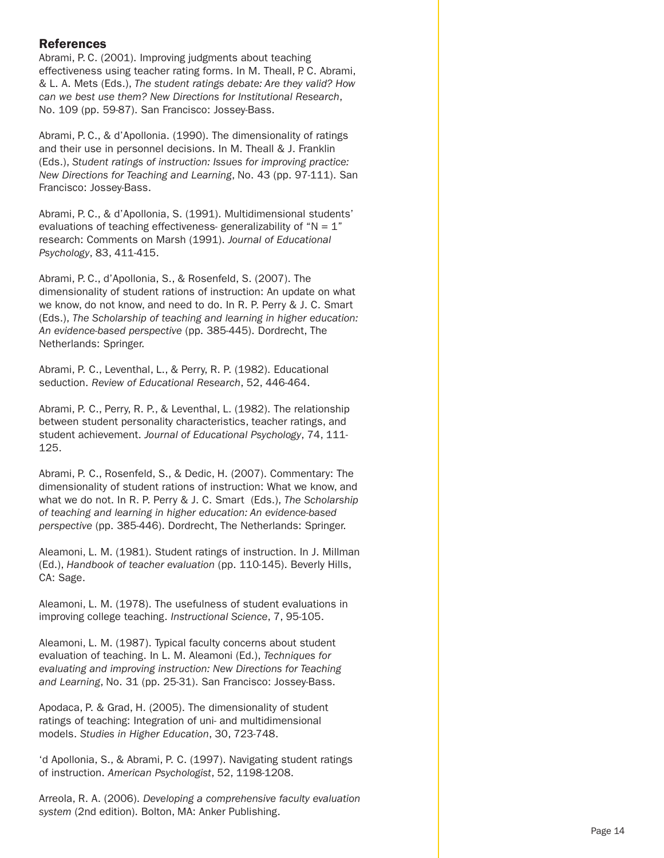### References

Abrami, P. C. (2001). Improving judgments about teaching effectiveness using teacher rating forms. In M. Theall, P. C. Abrami, & L. A. Mets (Eds.), *The student ratings debate: Are they valid? How can we best use them? New Directions for Institutional Research*, No. 109 (pp. 59-87). San Francisco: Jossey-Bass.

Abrami, P. C., & d'Apollonia. (1990). The dimensionality of ratings and their use in personnel decisions. In M. Theall & J. Franklin (Eds.), *Student ratings of instruction: Issues for improving practice: New Directions for Teaching and Learning*, No. 43 (pp. 97-111). San Francisco: Jossey-Bass.

Abrami, P. C., & d'Apollonia, S. (1991). Multidimensional students' evaluations of teaching effectiveness- generalizability of " $N = 1$ " research: Comments on Marsh (1991). *Journal of Educational Psychology*, 83, 411-415.

Abrami, P. C., d'Apollonia, S., & Rosenfeld, S. (2007). The dimensionality of student rations of instruction: An update on what we know, do not know, and need to do. In R. P. Perry & J. C. Smart (Eds.), *The Scholarship of teaching and learning in higher education: An evidence-based perspective* (pp. 385-445). Dordrecht, The Netherlands: Springer.

Abrami, P. C., Leventhal, L., & Perry, R. P. (1982). Educational seduction. *Review of Educational Research*, 52, 446-464.

Abrami, P. C., Perry, R. P., & Leventhal, L. (1982). The relationship between student personality characteristics, teacher ratings, and student achievement. *Journal of Educational Psychology*, 74, 111- 125.

Abrami, P. C., Rosenfeld, S., & Dedic, H. (2007). Commentary: The dimensionality of student rations of instruction: What we know, and what we do not. In R. P. Perry & J. C. Smart (Eds.), *The Scholarship of teaching and learning in higher education: An evidence-based perspective* (pp. 385-446). Dordrecht, The Netherlands: Springer.

Aleamoni, L. M. (1981). Student ratings of instruction. In J. Millman (Ed.), *Handbook of teacher evaluation* (pp. 110-145). Beverly Hills, CA: Sage.

Aleamoni, L. M. (1978). The usefulness of student evaluations in improving college teaching. *Instructional Science*, 7, 95-105.

Aleamoni, L. M. (1987). Typical faculty concerns about student evaluation of teaching. In L. M. Aleamoni (Ed.), *Techniques for evaluating and improving instruction: New Directions for Teaching and Learning*, No. 31 (pp. 25-31). San Francisco: Jossey-Bass.

Apodaca, P. & Grad, H. (2005). The dimensionality of student ratings of teaching: Integration of uni- and multidimensional models. *Studies in Higher Education*, 30, 723-748.

'd Apollonia, S., & Abrami, P. C. (1997). Navigating student ratings of instruction. *American Psychologist*, 52, 1198-1208.

Arreola, R. A. (2006). *Developing a comprehensive faculty evaluation system* (2nd edition). Bolton, MA: Anker Publishing.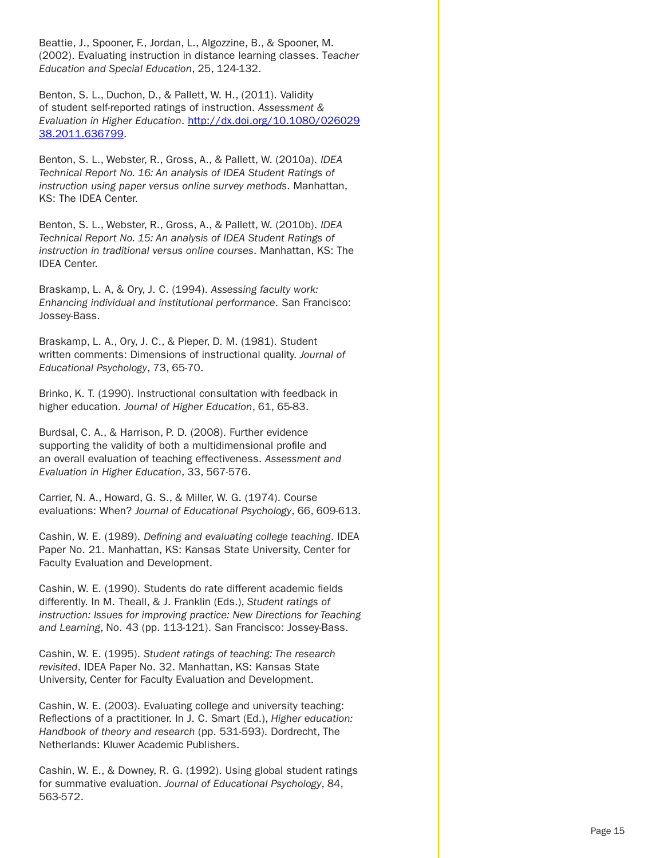Beattie, J., Spooner, F., Jordan, L., Algozzine, B., & Spooner, M. (2002). Evaluating instruction in distance learning classes. T*eacher Education and Special Education*, 25, 124-132.

Benton, S. L., Duchon, D., & Pallett, W. H., (2011). Validity of student self-reported ratings of instruction. *Assessment & Evaluation in Higher Education*. http://dx.doi.org/10.1080/026029 38.2011.636799.

Benton, S. L., Webster, R., Gross, A., & Pallett, W. (2010a). *IDEA Technical Report No. 16: An analysis of IDEA Student Ratings of instruction using paper versus online survey methods*. Manhattan, KS: The IDEA Center.

Benton, S. L., Webster, R., Gross, A., & Pallett, W. (2010b). *IDEA Technical Report No. 15: An analysis of IDEA Student Ratings of instruction in traditional versus online courses*. Manhattan, KS: The IDEA Center.

Braskamp, L. A, & Ory, J. C. (1994). *Assessing faculty work: Enhancing individual and institutional performance*. San Francisco: Jossey-Bass.

Braskamp, L. A., Ory, J. C., & Pieper, D. M. (1981). Student written comments: Dimensions of instructional quality. *Journal of Educational Psychology*, 73, 65-70.

Brinko, K. T. (1990). Instructional consultation with feedback in higher education. *Journal of Higher Education*, 61, 65-83.

Burdsal, C. A., & Harrison, P. D. (2008). Further evidence supporting the validity of both a multidimensional profile and an overall evaluation of teaching effectiveness. *Assessment and Evaluation in Higher Education*, 33, 567-576.

Carrier, N. A., Howard, G. S., & Miller, W. G. (1974). Course evaluations: When? *Journal of Educational Psychology*, 66, 609-613.

Cashin, W. E. (1989). *Defining and evaluating college teaching*. IDEA Paper No. 21. Manhattan, KS: Kansas State University, Center for Faculty Evaluation and Development.

Cashin, W. E. (1990). Students do rate different academic fields differently. In M. Theall, & J. Franklin (Eds.), *Student ratings of instruction: Issues for improving practice: New Directions for Teaching and Learning*, No. 43 (pp. 113-121). San Francisco: Jossey-Bass.

Cashin, W. E. (1995). *Student ratings of teaching: The research revisited*. IDEA Paper No. 32. Manhattan, KS: Kansas State University, Center for Faculty Evaluation and Development.

Cashin, W. E. (2003). Evaluating college and university teaching: Reflections of a practitioner. In J. C. Smart (Ed.), *Higher education: Handbook of theory and research* (pp. 531-593). Dordrecht, The Netherlands: Kluwer Academic Publishers.

Cashin, W. E., & Downey, R. G. (1992). Using global student ratings for summative evaluation. *Journal of Educational Psychology*, 84, 563-572.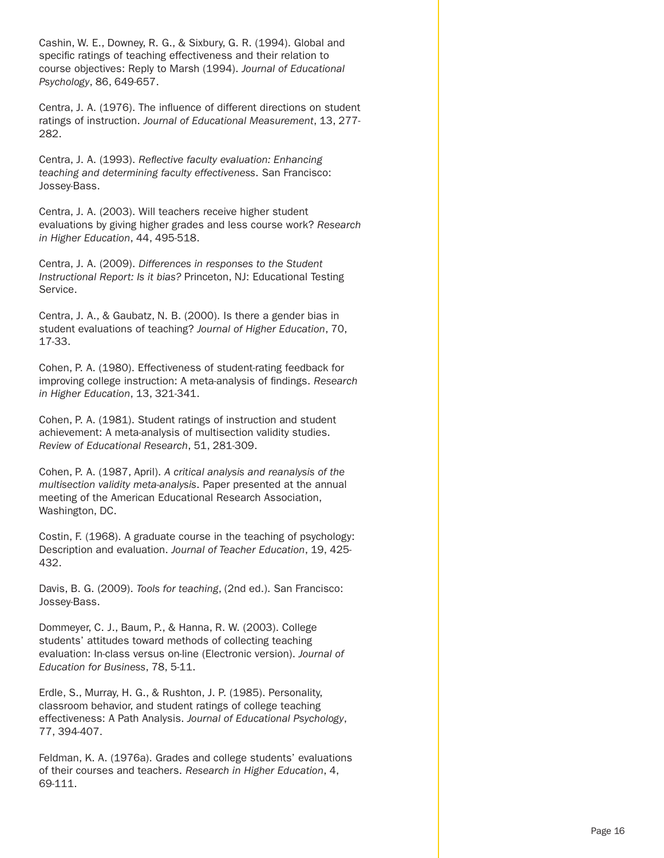Cashin, W. E., Downey, R. G., & Sixbury, G. R. (1994). Global and specific ratings of teaching effectiveness and their relation to course objectives: Reply to Marsh (1994). *Journal of Educational Psychology*, 86, 649-657.

Centra, J. A. (1976). The influence of different directions on student ratings of instruction. *Journal of Educational Measurement*, 13, 277- 282.

Centra, J. A. (1993). *Reflective faculty evaluation: Enhancing teaching and determining faculty effectiveness*. San Francisco: Jossey-Bass.

Centra, J. A. (2003). Will teachers receive higher student evaluations by giving higher grades and less course work? *Research in Higher Education*, 44, 495-518.

Centra, J. A. (2009). *Differences in responses to the Student Instructional Report: Is it bias?* Princeton, NJ: Educational Testing Service.

Centra, J. A., & Gaubatz, N. B. (2000). Is there a gender bias in student evaluations of teaching? *Journal of Higher Education*, 70, 17-33.

Cohen, P. A. (1980). Effectiveness of student-rating feedback for improving college instruction: A meta-analysis of findings. *Research in Higher Education*, 13, 321-341.

Cohen, P. A. (1981). Student ratings of instruction and student achievement: A meta-analysis of multisection validity studies. *Review of Educational Research*, 51, 281-309.

Cohen, P. A. (1987, April). *A critical analysis and reanalysis of the multisection validity meta-analysis*. Paper presented at the annual meeting of the American Educational Research Association, Washington, DC.

Costin, F. (1968). A graduate course in the teaching of psychology: Description and evaluation. *Journal of Teacher Education*, 19, 425- 432.

Davis, B. G. (2009). *Tools for teaching*, (2nd ed.). San Francisco: Jossey-Bass.

Dommeyer, C. J., Baum, P., & Hanna, R. W. (2003). College students' attitudes toward methods of collecting teaching evaluation: In-class versus on-line (Electronic version). *Journal of Education for Business*, 78, 5-11.

Erdle, S., Murray, H. G., & Rushton, J. P. (1985). Personality, classroom behavior, and student ratings of college teaching effectiveness: A Path Analysis. *Journal of Educational Psychology*, 77, 394-407.

Feldman, K. A. (1976a). Grades and college students' evaluations of their courses and teachers. *Research in Higher Education*, 4, 69-111.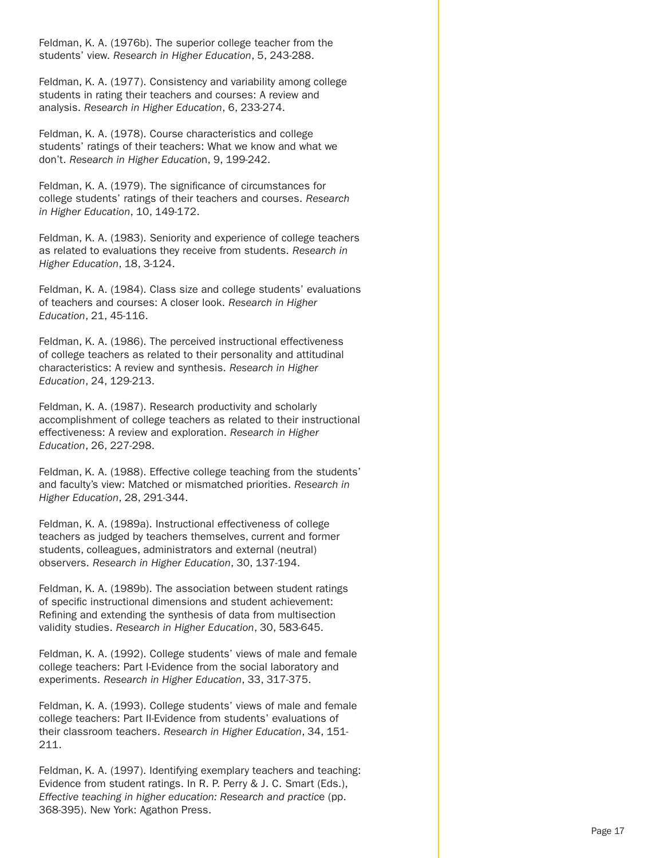Feldman, K. A. (1976b). The superior college teacher from the students' view. *Research in Higher Education*, 5, 243-288.

Feldman, K. A. (1977). Consistency and variability among college students in rating their teachers and courses: A review and analysis. *Research in Higher Education*, 6, 233-274.

Feldman, K. A. (1978). Course characteristics and college students' ratings of their teachers: What we know and what we don't. *Research in Higher Educatio*n, 9, 199-242.

Feldman, K. A. (1979). The significance of circumstances for college students' ratings of their teachers and courses. *Research in Higher Education*, 10, 149-172.

Feldman, K. A. (1983). Seniority and experience of college teachers as related to evaluations they receive from students. *Research in Higher Education*, 18, 3-124.

Feldman, K. A. (1984). Class size and college students' evaluations of teachers and courses: A closer look. *Research in Higher Education*, 21, 45-116.

Feldman, K. A. (1986). The perceived instructional effectiveness of college teachers as related to their personality and attitudinal characteristics: A review and synthesis. *Research in Higher Education*, 24, 129-213.

Feldman, K. A. (1987). Research productivity and scholarly accomplishment of college teachers as related to their instructional effectiveness: A review and exploration. *Research in Higher Education*, 26, 227-298.

Feldman, K. A. (1988). Effective college teaching from the students' and faculty's view: Matched or mismatched priorities. *Research in Higher Education*, 28, 291-344.

Feldman, K. A. (1989a). Instructional effectiveness of college teachers as judged by teachers themselves, current and former students, colleagues, administrators and external (neutral) observers. *Research in Higher Education*, 30, 137-194.

Feldman, K. A. (1989b). The association between student ratings of specific instructional dimensions and student achievement: Refining and extending the synthesis of data from multisection validity studies. *Research in Higher Education*, 30, 583-645.

Feldman, K. A. (1992). College students' views of male and female college teachers: Part I-Evidence from the social laboratory and experiments. *Research in Higher Education*, 33, 317-375.

Feldman, K. A. (1993). College students' views of male and female college teachers: Part II-Evidence from students' evaluations of their classroom teachers. *Research in Higher Education*, 34, 151- 211.

Feldman, K. A. (1997). Identifying exemplary teachers and teaching: Evidence from student ratings. In R. P. Perry & J. C. Smart (Eds.), *Effective teaching in higher education: Research and practic*e (pp. 368-395). New York: Agathon Press.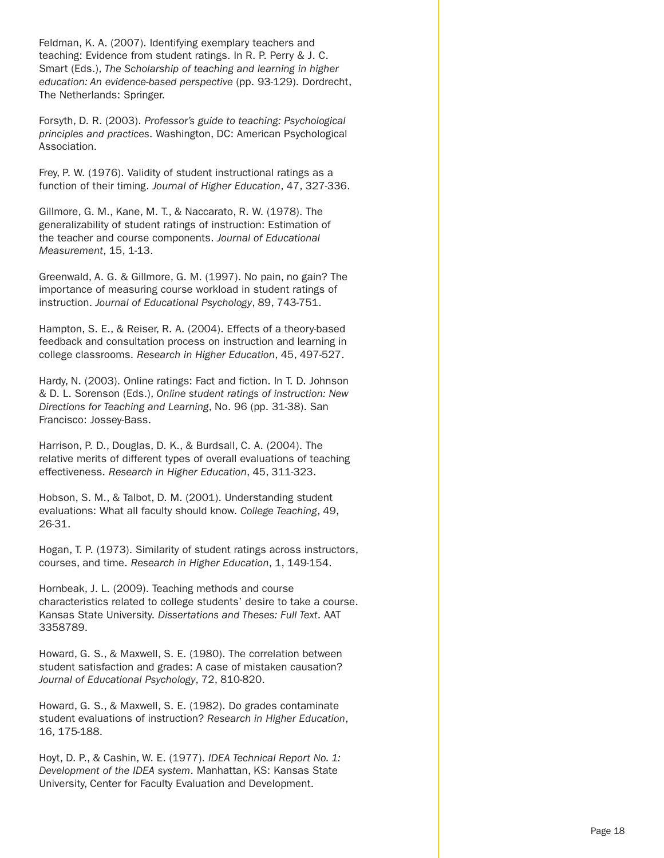Feldman, K. A. (2007). Identifying exemplary teachers and teaching: Evidence from student ratings. In R. P. Perry & J. C. Smart (Eds.), *The Scholarship of teaching and learning in higher education: An evidence-based perspective* (pp. 93-129). Dordrecht, The Netherlands: Springer.

Forsyth, D. R. (2003). *Professor's guide to teaching: Psychological principles and practices*. Washington, DC: American Psychological Association.

Frey, P. W. (1976). Validity of student instructional ratings as a function of their timing. *Journal of Higher Education*, 47, 327-336.

Gillmore, G. M., Kane, M. T., & Naccarato, R. W. (1978). The generalizability of student ratings of instruction: Estimation of the teacher and course components. *Journal of Educational Measurement*, 15, 1-13.

Greenwald, A. G. & Gillmore, G. M. (1997). No pain, no gain? The importance of measuring course workload in student ratings of instruction. *Journal of Educational Psychology*, 89, 743-751.

Hampton, S. E., & Reiser, R. A. (2004). Effects of a theory-based feedback and consultation process on instruction and learning in college classrooms. *Research in Higher Education*, 45, 497-527.

Hardy, N. (2003). Online ratings: Fact and fiction. In T. D. Johnson & D. L. Sorenson (Eds.), *Online student ratings of instruction: New Directions for Teaching and Learning*, No. 96 (pp. 31-38). San Francisco: Jossey-Bass.

Harrison, P. D., Douglas, D. K., & Burdsall, C. A. (2004). The relative merits of different types of overall evaluations of teaching effectiveness. *Research in Higher Education*, 45, 311-323.

Hobson, S. M., & Talbot, D. M. (2001). Understanding student evaluations: What all faculty should know. *College Teaching*, 49, 26-31.

Hogan, T. P. (1973). Similarity of student ratings across instructors, courses, and time. *Research in Higher Education*, 1, 149-154.

Hornbeak, J. L. (2009). Teaching methods and course characteristics related to college students' desire to take a course. Kansas State University. *Dissertations and Theses: Full Text*. AAT 3358789.

Howard, G. S., & Maxwell, S. E. (1980). The correlation between student satisfaction and grades: A case of mistaken causation? *Journal of Educational Psychology*, 72, 810-820.

Howard, G. S., & Maxwell, S. E. (1982). Do grades contaminate student evaluations of instruction? *Research in Higher Education*, 16, 175-188.

Hoyt, D. P., & Cashin, W. E. (1977). *IDEA Technical Report No. 1: Development of the IDEA system*. Manhattan, KS: Kansas State University, Center for Faculty Evaluation and Development.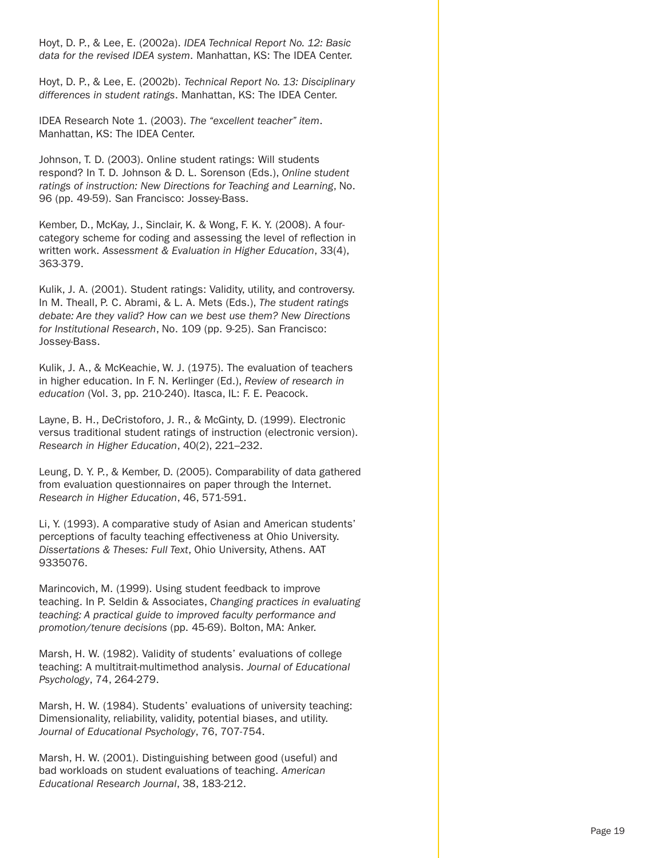Hoyt, D. P., & Lee, E. (2002a). *IDEA Technical Report No. 12: Basic data for the revised IDEA system*. Manhattan, KS: The IDEA Center.

Hoyt, D. P., & Lee, E. (2002b). *Technical Report No. 13: Disciplinary differences in student ratings*. Manhattan, KS: The IDEA Center.

IDEA Research Note 1. (2003). *The "excellent teacher" item*. Manhattan, KS: The IDEA Center.

Johnson, T. D. (2003). Online student ratings: Will students respond? In T. D. Johnson & D. L. Sorenson (Eds.), *Online student ratings of instruction: New Directions for Teaching and Learning*, No. 96 (pp. 49-59). San Francisco: Jossey-Bass.

Kember, D., McKay, J., Sinclair, K. & Wong, F. K. Y. (2008). A fourcategory scheme for coding and assessing the level of reflection in written work. *Assessment & Evaluation in Higher Education*, 33(4), 363-379.

Kulik, J. A. (2001). Student ratings: Validity, utility, and controversy. In M. Theall, P. C. Abrami, & L. A. Mets (Eds.), *The student ratings debate: Are they valid? How can we best use them? New Directions for Institutional Research*, No. 109 (pp. 9-25). San Francisco: Jossey-Bass.

Kulik, J. A., & McKeachie, W. J. (1975). The evaluation of teachers in higher education. In F. N. Kerlinger (Ed.), *Review of research in education* (Vol. 3, pp. 210-240). Itasca, IL: F. E. Peacock.

Layne, B. H., DeCristoforo, J. R., & McGinty, D. (1999). Electronic versus traditional student ratings of instruction (electronic version). *Research in Higher Education*, 40(2), 221–232.

Leung, D. Y. P., & Kember, D. (2005). Comparability of data gathered from evaluation questionnaires on paper through the Internet. *Research in Higher Education*, 46, 571-591.

Li, Y. (1993). A comparative study of Asian and American students' perceptions of faculty teaching effectiveness at Ohio University. *Dissertations & Theses: Full Text*, Ohio University, Athens. AAT 9335076.

Marincovich, M. (1999). Using student feedback to improve teaching. In P. Seldin & Associates, *Changing practices in evaluating teaching: A practical guide to improved faculty performance and promotion/tenure decisions* (pp. 45-69). Bolton, MA: Anker.

Marsh, H. W. (1982). Validity of students' evaluations of college teaching: A multitrait-multimethod analysis. *Journal of Educational Psychology*, 74, 264-279.

Marsh, H. W. (1984). Students' evaluations of university teaching: Dimensionality, reliability, validity, potential biases, and utility. *Journal of Educational Psychology*, 76, 707-754.

Marsh, H. W. (2001). Distinguishing between good (useful) and bad workloads on student evaluations of teaching. *American Educational Research Journal*, 38, 183-212.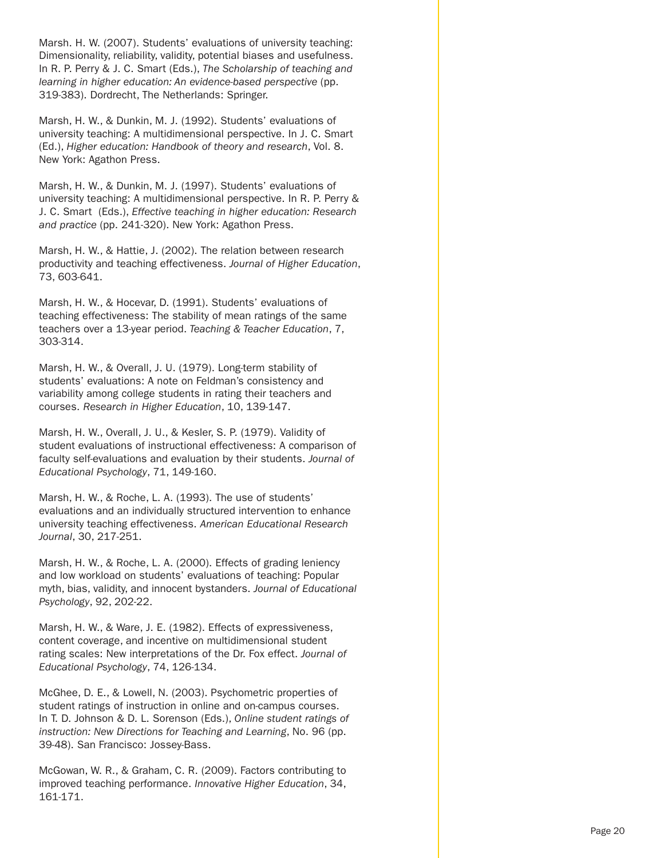Marsh. H. W. (2007). Students' evaluations of university teaching: Dimensionality, reliability, validity, potential biases and usefulness. In R. P. Perry & J. C. Smart (Eds.), *The Scholarship of teaching and learning in higher education: An evidence-based perspective (pp.* 319-383). Dordrecht, The Netherlands: Springer.

Marsh, H. W., & Dunkin, M. J. (1992). Students' evaluations of university teaching: A multidimensional perspective. In J. C. Smart (Ed.), *Higher education: Handbook of theory and research*, Vol. 8. New York: Agathon Press.

Marsh, H. W., & Dunkin, M. J. (1997). Students' evaluations of university teaching: A multidimensional perspective. In R. P. Perry & J. C. Smart (Eds.), *Effective teaching in higher education: Research and practice* (pp. 241-320). New York: Agathon Press.

Marsh, H. W., & Hattie, J. (2002). The relation between research productivity and teaching effectiveness. *Journal of Higher Education*, 73, 603-641.

Marsh, H. W., & Hocevar, D. (1991). Students' evaluations of teaching effectiveness: The stability of mean ratings of the same teachers over a 13-year period. *Teaching & Teacher Education*, 7, 303-314.

Marsh, H. W., & Overall, J. U. (1979). Long-term stability of students' evaluations: A note on Feldman's consistency and variability among college students in rating their teachers and courses. *Research in Higher Education*, 10, 139-147.

Marsh, H. W., Overall, J. U., & Kesler, S. P. (1979). Validity of student evaluations of instructional effectiveness: A comparison of faculty self-evaluations and evaluation by their students. *Journal of Educational Psychology*, 71, 149-160.

Marsh, H. W., & Roche, L. A. (1993). The use of students' evaluations and an individually structured intervention to enhance university teaching effectiveness. *American Educational Research Journal*, 30, 217-251.

Marsh, H. W., & Roche, L. A. (2000). Effects of grading leniency and low workload on students' evaluations of teaching: Popular myth, bias, validity, and innocent bystanders. *Journal of Educational Psychology*, 92, 202-22.

Marsh, H. W., & Ware, J. E. (1982). Effects of expressiveness, content coverage, and incentive on multidimensional student rating scales: New interpretations of the Dr. Fox effect. *Journal of Educational Psychology*, 74, 126-134.

McGhee, D. E., & Lowell, N. (2003). Psychometric properties of student ratings of instruction in online and on-campus courses. In T. D. Johnson & D. L. Sorenson (Eds.), *Online student ratings of instruction: New Directions for Teaching and Learning*, No. 96 (pp. 39-48). San Francisco: Jossey-Bass.

McGowan, W. R., & Graham, C. R. (2009). Factors contributing to improved teaching performance. *Innovative Higher Education*, 34, 161-171.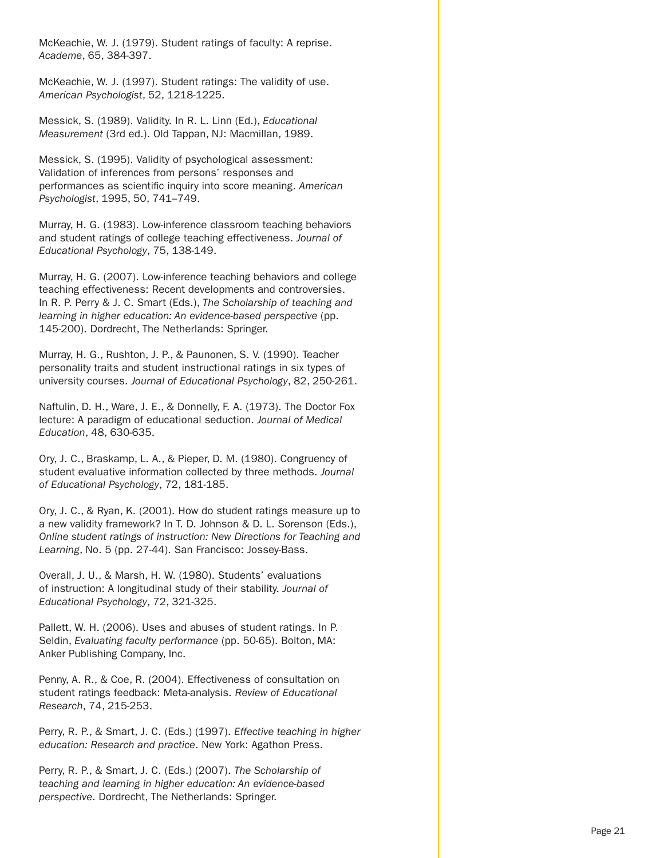McKeachie, W. J. (1979). Student ratings of faculty: A reprise. *Academe*, 65, 384-397.

McKeachie, W. J. (1997). Student ratings: The validity of use. *American Psychologist*, 52, 1218-1225.

Messick, S. (1989). Validity. In R. L. Linn (Ed.), *Educational Measurement* (3rd ed.). Old Tappan, NJ: Macmillan, 1989.

Messick, S. (1995). Validity of psychological assessment: Validation of inferences from persons' responses and performances as scientific inquiry into score meaning. *American Psychologist*, 1995, 50, 741–749.

Murray, H. G. (1983). Low-inference classroom teaching behaviors and student ratings of college teaching effectiveness. *Journal of Educational Psychology*, 75, 138-149.

Murray, H. G. (2007). Low-inference teaching behaviors and college teaching effectiveness: Recent developments and controversies. In R. P. Perry & J. C. Smart (Eds.), *The Scholarship of teaching and learning in higher education: An evidence-based perspective* (pp. 145-200). Dordrecht, The Netherlands: Springer.

Murray, H. G., Rushton, J. P., & Paunonen, S. V. (1990). Teacher personality traits and student instructional ratings in six types of university courses. *Journal of Educational Psychology*, 82, 250-261.

Naftulin, D. H., Ware, J. E., & Donnelly, F. A. (1973). The Doctor Fox lecture: A paradigm of educational seduction. *Journal of Medical Education*, 48, 630-635.

Ory, J. C., Braskamp, L. A., & Pieper, D. M. (1980). Congruency of student evaluative information collected by three methods. *Journal of Educational Psychology*, 72, 181-185.

Ory, J. C., & Ryan, K. (2001). How do student ratings measure up to a new validity framework? In T. D. Johnson & D. L. Sorenson (Eds.), *Online student ratings of instruction: New Directions for Teaching and Learning*, No. 5 (pp. 27-44). San Francisco: Jossey-Bass.

Overall, J. U., & Marsh, H. W. (1980). Students' evaluations of instruction: A longitudinal study of their stability. *Journal of Educational Psychology*, 72, 321-325.

Pallett, W. H. (2006). Uses and abuses of student ratings. In P. Seldin, *Evaluating faculty performance* (pp. 50-65). Bolton, MA: Anker Publishing Company, Inc.

Penny, A. R., & Coe, R. (2004). Effectiveness of consultation on student ratings feedback: Meta-analysis. *Review of Educational Research*, 74, 215-253.

Perry, R. P., & Smart, J. C. (Eds.) (1997). *Effective teaching in higher education: Research and practice*. New York: Agathon Press.

Perry, R. P., & Smart, J. C. (Eds.) (2007). *The Scholarship of teaching and learning in higher education: An evidence-based perspective*. Dordrecht, The Netherlands: Springer.